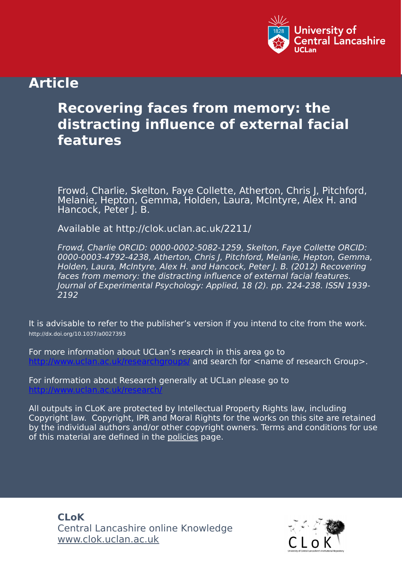

## **Article**

# **Recovering faces from memory: the distracting influence of external facial features**

Frowd, Charlie, Skelton, Faye Collette, Atherton, Chris J, Pitchford, Melanie, Hepton, Gemma, Holden, Laura, McIntyre, Alex H. and Hancock, Peter J. B.

Available at http://clok.uclan.ac.uk/2211/

Frowd, Charlie ORCID: 0000-0002-5082-1259, Skelton, Faye Collette ORCID: 0000-0003-4792-4238, Atherton, Chris J, Pitchford, Melanie, Hepton, Gemma, Holden, Laura, McIntyre, Alex H. and Hancock, Peter J. B. (2012) Recovering faces from memory: the distracting influence of external facial features. Journal of Experimental Psychology: Applied, 18 (2). pp. 224-238. ISSN 1939- 2192

It is advisable to refer to the publisher's version if you intend to cite from the work. http://dx.doi.org/10.1037/a0027393

For more information about UCLan's research in this area go to and search for <name of research Group>.

For information about Research generally at UCLan please go to <http://www.uclan.ac.uk/research/>

All outputs in CLoK are protected by Intellectual Property Rights law, including Copyright law. Copyright, IPR and Moral Rights for the works on this site are retained by the individual authors and/or other copyright owners. Terms and conditions for use of this material are defined in the [policies](https://clok.uclan.ac.uk/policies.html) page.

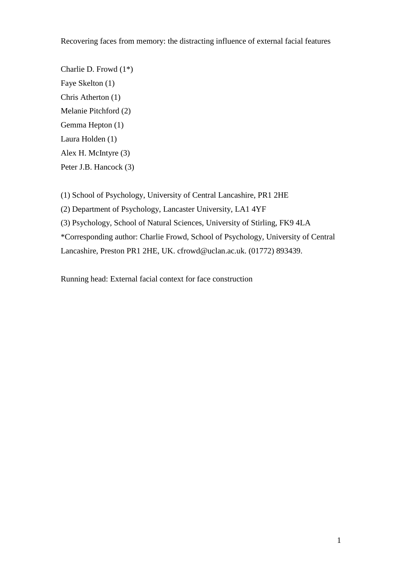Recovering faces from memory: the distracting influence of external facial features

Charlie D. Frowd (1\*) Faye Skelton (1) Chris Atherton (1) Melanie Pitchford (2) Gemma Hepton (1) Laura Holden (1) Alex H. McIntyre (3) Peter J.B. Hancock (3)

(1) School of Psychology, University of Central Lancashire, PR1 2HE

(2) Department of Psychology, Lancaster University, LA1 4YF

(3) Psychology, School of Natural Sciences, University of Stirling, FK9 4LA

\*Corresponding author: Charlie Frowd, School of Psychology, University of Central

Lancashire, Preston PR1 2HE, UK. cfrowd@uclan.ac.uk. (01772) 893439.

Running head: External facial context for face construction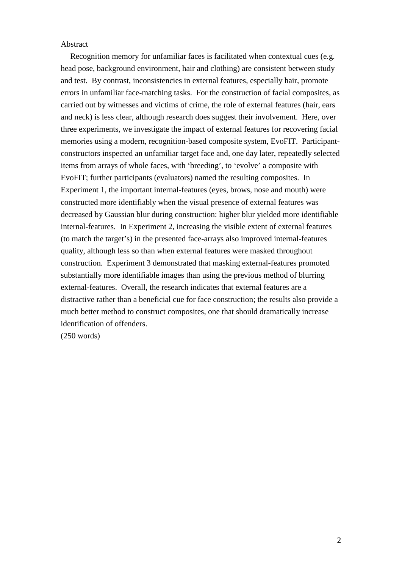#### Abstract

Recognition memory for unfamiliar faces is facilitated when contextual cues (e.g. head pose, background environment, hair and clothing) are consistent between study and test. By contrast, inconsistencies in external features, especially hair, promote errors in unfamiliar face-matching tasks. For the construction of facial composites, as carried out by witnesses and victims of crime, the role of external features (hair, ears and neck) is less clear, although research does suggest their involvement. Here, over three experiments, we investigate the impact of external features for recovering facial memories using a modern, recognition-based composite system, EvoFIT. Participantconstructors inspected an unfamiliar target face and, one day later, repeatedly selected items from arrays of whole faces, with 'breeding', to 'evolve' a composite with EvoFIT; further participants (evaluators) named the resulting composites. In Experiment 1, the important internal-features (eyes, brows, nose and mouth) were constructed more identifiably when the visual presence of external features was decreased by Gaussian blur during construction: higher blur yielded more identifiable internal-features. In Experiment 2, increasing the visible extent of external features (to match the target's) in the presented face-arrays also improved internal-features quality, although less so than when external features were masked throughout construction. Experiment 3 demonstrated that masking external-features promoted substantially more identifiable images than using the previous method of blurring external-features. Overall, the research indicates that external features are a distractive rather than a beneficial cue for face construction; the results also provide a much better method to construct composites, one that should dramatically increase identification of offenders.

(250 words)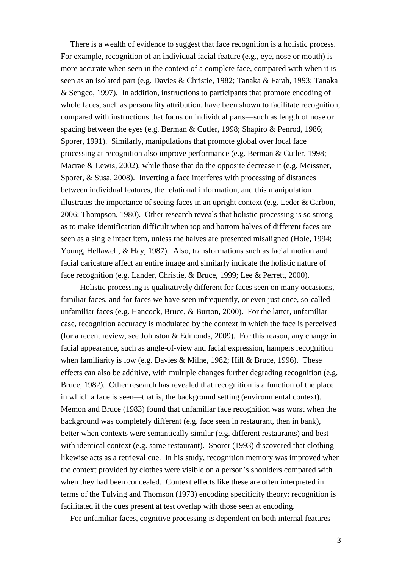There is a wealth of evidence to suggest that face recognition is a holistic process. For example, recognition of an individual facial feature (e.g., eye, nose or mouth) is more accurate when seen in the context of a complete face, compared with when it is seen as an isolated part (e.g. Davies & Christie, 1982; Tanaka & Farah, 1993; Tanaka & Sengco, 1997). In addition, instructions to participants that promote encoding of whole faces, such as personality attribution, have been shown to facilitate recognition, compared with instructions that focus on individual parts—such as length of nose or spacing between the eyes (e.g. Berman & Cutler, 1998; Shapiro & Penrod, 1986; Sporer, 1991). Similarly, manipulations that promote global over local face processing at recognition also improve performance (e.g. Berman & Cutler, 1998; Macrae & Lewis, 2002), while those that do the opposite decrease it (e.g. Meissner, Sporer, & Susa, 2008). Inverting a face interferes with processing of distances between individual features, the relational information, and this manipulation illustrates the importance of seeing faces in an upright context (e.g. Leder & Carbon, 2006; Thompson, 1980). Other research reveals that holistic processing is so strong as to make identification difficult when top and bottom halves of different faces are seen as a single intact item, unless the halves are presented misaligned (Hole, 1994; Young, Hellawell, & Hay, 1987). Also, transformations such as facial motion and facial caricature affect an entire image and similarly indicate the holistic nature of face recognition (e.g. Lander, Christie, & Bruce, 1999; Lee & Perrett, 2000).

Holistic processing is qualitatively different for faces seen on many occasions, familiar faces, and for faces we have seen infrequently, or even just once, so-called unfamiliar faces (e.g. Hancock, Bruce, & Burton, 2000). For the latter, unfamiliar case, recognition accuracy is modulated by the context in which the face is perceived (for a recent review, see Johnston & Edmonds, 2009). For this reason, any change in facial appearance, such as angle-of-view and facial expression, hampers recognition when familiarity is low (e.g. Davies & Milne, 1982; Hill & Bruce, 1996). These effects can also be additive, with multiple changes further degrading recognition (e.g. Bruce, 1982). Other research has revealed that recognition is a function of the place in which a face is seen—that is, the background setting (environmental context). Memon and Bruce (1983) found that unfamiliar face recognition was worst when the background was completely different (e.g. face seen in restaurant, then in bank), better when contexts were semantically-similar (e.g. different restaurants) and best with identical context (e.g. same restaurant). Sporer (1993) discovered that clothing likewise acts as a retrieval cue. In his study, recognition memory was improved when the context provided by clothes were visible on a person's shoulders compared with when they had been concealed. Context effects like these are often interpreted in terms of the Tulving and Thomson (1973) encoding specificity theory: recognition is facilitated if the cues present at test overlap with those seen at encoding.

For unfamiliar faces, cognitive processing is dependent on both internal features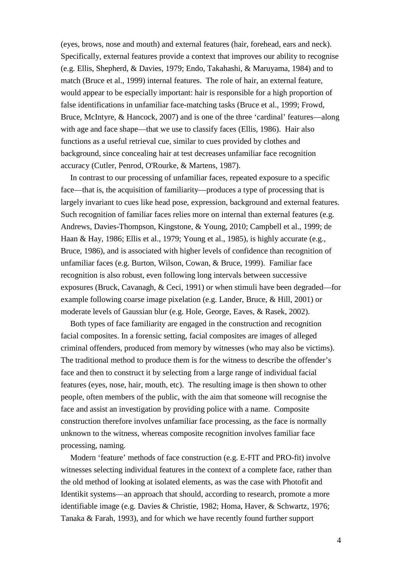(eyes, brows, nose and mouth) and external features (hair, forehead, ears and neck). Specifically, external features provide a context that improves our ability to recognise (e.g. Ellis, Shepherd, & Davies, 1979; Endo, Takahashi, & Maruyama, 1984) and to match (Bruce et al., 1999) internal features. The role of hair, an external feature, would appear to be especially important: hair is responsible for a high proportion of false identifications in unfamiliar face-matching tasks (Bruce et al., 1999; Frowd, Bruce, McIntyre, & Hancock, 2007) and is one of the three 'cardinal' features—along with age and face shape—that we use to classify faces (Ellis, 1986). Hair also functions as a useful retrieval cue, similar to cues provided by clothes and background, since concealing hair at test decreases unfamiliar face recognition accuracy (Cutler, Penrod, O'Rourke, & Martens, 1987).

In contrast to our processing of unfamiliar faces, repeated exposure to a specific face—that is, the acquisition of familiarity—produces a type of processing that is largely invariant to cues like head pose, expression, background and external features. Such recognition of familiar faces relies more on internal than external features (e.g. Andrews, Davies-Thompson, Kingstone, & Young, 2010; Campbell et al., 1999; de Haan & Hay, 1986; Ellis et al., 1979; Young et al., 1985), is highly accurate (e.g., Bruce, 1986), and is associated with higher levels of confidence than recognition of unfamiliar faces (e.g. Burton, Wilson, Cowan, & Bruce, 1999). Familiar face recognition is also robust, even following long intervals between successive exposures (Bruck, Cavanagh, & Ceci, 1991) or when stimuli have been degraded—for example following coarse image pixelation (e.g. Lander, Bruce, & Hill, 2001) or moderate levels of Gaussian blur (e.g. Hole, George, Eaves, & Rasek, 2002).

Both types of face familiarity are engaged in the construction and recognition facial composites. In a forensic setting, facial composites are images of alleged criminal offenders, produced from memory by witnesses (who may also be victims). The traditional method to produce them is for the witness to describe the offender's face and then to construct it by selecting from a large range of individual facial features (eyes, nose, hair, mouth, etc). The resulting image is then shown to other people, often members of the public, with the aim that someone will recognise the face and assist an investigation by providing police with a name. Composite construction therefore involves unfamiliar face processing, as the face is normally unknown to the witness, whereas composite recognition involves familiar face processing, naming.

Modern 'feature' methods of face construction (e.g. E-FIT and PRO-fit) involve witnesses selecting individual features in the context of a complete face, rather than the old method of looking at isolated elements, as was the case with Photofit and Identikit systems—an approach that should, according to research, promote a more identifiable image (e.g. Davies & Christie, 1982; Homa, Haver, & Schwartz, 1976; Tanaka & Farah, 1993), and for which we have recently found further support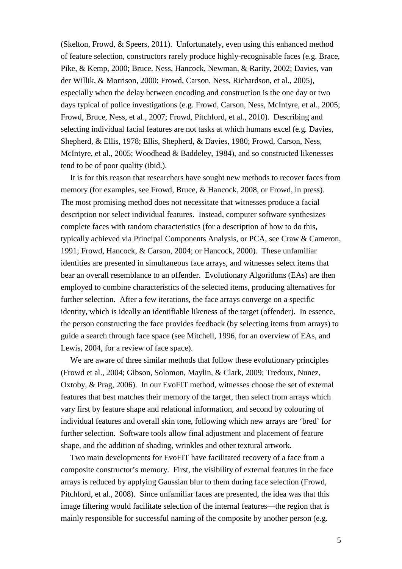(Skelton, Frowd, & Speers, 2011). Unfortunately, even using this enhanced method of feature selection, constructors rarely produce highly-recognisable faces (e.g. Brace, Pike, & Kemp, 2000; Bruce, Ness, Hancock, Newman, & Rarity, 2002; Davies, van der Willik, & Morrison, 2000; Frowd, Carson, Ness, Richardson, et al., 2005), especially when the delay between encoding and construction is the one day or two days typical of police investigations (e.g. Frowd, Carson, Ness, McIntyre, et al., 2005; Frowd, Bruce, Ness, et al., 2007; Frowd, Pitchford, et al., 2010). Describing and selecting individual facial features are not tasks at which humans excel (e.g. Davies, Shepherd, & Ellis, 1978; Ellis, Shepherd, & Davies, 1980; Frowd, Carson, Ness, McIntyre, et al., 2005; Woodhead & Baddeley, 1984), and so constructed likenesses tend to be of poor quality (ibid.).

It is for this reason that researchers have sought new methods to recover faces from memory (for examples, see Frowd, Bruce, & Hancock, 2008, or Frowd, in press). The most promising method does not necessitate that witnesses produce a facial description nor select individual features. Instead, computer software synthesizes complete faces with random characteristics (for a description of how to do this, typically achieved via Principal Components Analysis, or PCA, see Craw & Cameron, 1991; Frowd, Hancock, & Carson, 2004; or Hancock, 2000). These unfamiliar identities are presented in simultaneous face arrays, and witnesses select items that bear an overall resemblance to an offender. Evolutionary Algorithms (EAs) are then employed to combine characteristics of the selected items, producing alternatives for further selection. After a few iterations, the face arrays converge on a specific identity, which is ideally an identifiable likeness of the target (offender). In essence, the person constructing the face provides feedback (by selecting items from arrays) to guide a search through face space (see Mitchell, 1996, for an overview of EAs, and Lewis, 2004, for a review of face space).

We are aware of three similar methods that follow these evolutionary principles (Frowd et al., 2004; Gibson, Solomon, Maylin, & Clark, 2009; Tredoux, Nunez, Oxtoby, & Prag, 2006). In our EvoFIT method, witnesses choose the set of external features that best matches their memory of the target, then select from arrays which vary first by feature shape and relational information, and second by colouring of individual features and overall skin tone, following which new arrays are 'bred' for further selection. Software tools allow final adjustment and placement of feature shape, and the addition of shading, wrinkles and other textural artwork.

Two main developments for EvoFIT have facilitated recovery of a face from a composite constructor's memory. First, the visibility of external features in the face arrays is reduced by applying Gaussian blur to them during face selection (Frowd, Pitchford, et al., 2008). Since unfamiliar faces are presented, the idea was that this image filtering would facilitate selection of the internal features—the region that is mainly responsible for successful naming of the composite by another person (e.g.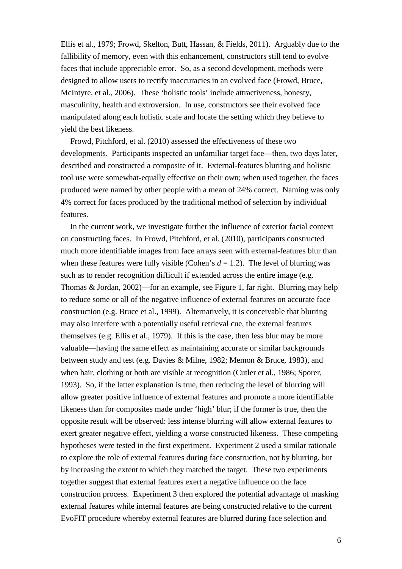Ellis et al., 1979; Frowd, Skelton, Butt, Hassan, & Fields, 2011). Arguably due to the fallibility of memory, even with this enhancement, constructors still tend to evolve faces that include appreciable error. So, as a second development, methods were designed to allow users to rectify inaccuracies in an evolved face (Frowd, Bruce, McIntyre, et al., 2006). These 'holistic tools' include attractiveness, honesty, masculinity, health and extroversion. In use, constructors see their evolved face manipulated along each holistic scale and locate the setting which they believe to yield the best likeness.

Frowd, Pitchford, et al. (2010) assessed the effectiveness of these two developments. Participants inspected an unfamiliar target face—then, two days later, described and constructed a composite of it. External-features blurring and holistic tool use were somewhat-equally effective on their own; when used together, the faces produced were named by other people with a mean of 24% correct. Naming was only 4% correct for faces produced by the traditional method of selection by individual features.

In the current work, we investigate further the influence of exterior facial context on constructing faces. In Frowd, Pitchford, et al. (2010), participants constructed much more identifiable images from face arrays seen with external-features blur than when these features were fully visible (Cohen's  $d = 1.2$ ). The level of blurring was such as to render recognition difficult if extended across the entire image (e.g. Thomas & Jordan, 2002)—for an example, see Figure 1, far right. Blurring may help to reduce some or all of the negative influence of external features on accurate face construction (e.g. Bruce et al., 1999). Alternatively, it is conceivable that blurring may also interfere with a potentially useful retrieval cue, the external features themselves (e.g. Ellis et al., 1979). If this is the case, then less blur may be more valuable—having the same effect as maintaining accurate or similar backgrounds between study and test (e.g. Davies & Milne, 1982; Memon & Bruce, 1983), and when hair, clothing or both are visible at recognition (Cutler et al., 1986; Sporer, 1993). So, if the latter explanation is true, then reducing the level of blurring will allow greater positive influence of external features and promote a more identifiable likeness than for composites made under 'high' blur; if the former is true, then the opposite result will be observed: less intense blurring will allow external features to exert greater negative effect, yielding a worse constructed likeness. These competing hypotheses were tested in the first experiment. Experiment 2 used a similar rationale to explore the role of external features during face construction, not by blurring, but by increasing the extent to which they matched the target. These two experiments together suggest that external features exert a negative influence on the face construction process. Experiment 3 then explored the potential advantage of masking external features while internal features are being constructed relative to the current EvoFIT procedure whereby external features are blurred during face selection and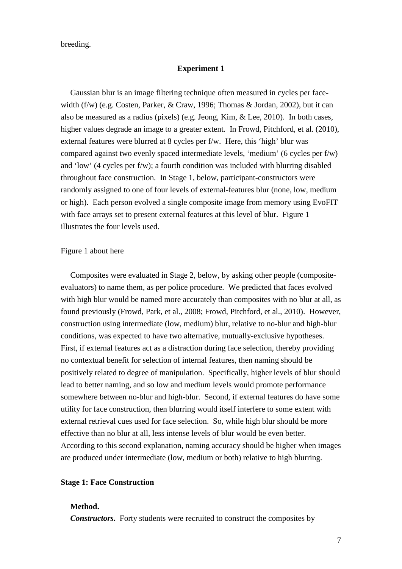breeding.

#### **Experiment 1**

Gaussian blur is an image filtering technique often measured in cycles per facewidth (f/w) (e.g. Costen, Parker, & Craw, 1996; Thomas & Jordan, 2002), but it can also be measured as a radius (pixels) (e.g. Jeong, Kim, & Lee, 2010). In both cases, higher values degrade an image to a greater extent. In Frowd, Pitchford, et al. (2010), external features were blurred at 8 cycles per f/w. Here, this 'high' blur was compared against two evenly spaced intermediate levels, 'medium' (6 cycles per f/w) and 'low' (4 cycles per f/w); a fourth condition was included with blurring disabled throughout face construction. In Stage 1, below, participant-constructors were randomly assigned to one of four levels of external-features blur (none, low, medium or high). Each person evolved a single composite image from memory using EvoFIT with face arrays set to present external features at this level of blur. Figure 1 illustrates the four levels used.

#### Figure 1 about here

Composites were evaluated in Stage 2, below, by asking other people (compositeevaluators) to name them, as per police procedure. We predicted that faces evolved with high blur would be named more accurately than composites with no blur at all, as found previously (Frowd, Park, et al., 2008; Frowd, Pitchford, et al., 2010). However, construction using intermediate (low, medium) blur, relative to no-blur and high-blur conditions, was expected to have two alternative, mutually-exclusive hypotheses. First, if external features act as a distraction during face selection, thereby providing no contextual benefit for selection of internal features, then naming should be positively related to degree of manipulation. Specifically, higher levels of blur should lead to better naming, and so low and medium levels would promote performance somewhere between no-blur and high-blur. Second, if external features do have some utility for face construction, then blurring would itself interfere to some extent with external retrieval cues used for face selection. So, while high blur should be more effective than no blur at all, less intense levels of blur would be even better. According to this second explanation, naming accuracy should be higher when images are produced under intermediate (low, medium or both) relative to high blurring.

#### **Stage 1: Face Construction**

#### **Method.**

*Constructors***.** Forty students were recruited to construct the composites by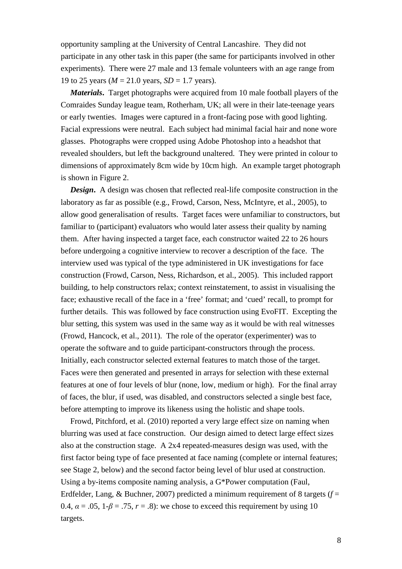opportunity sampling at the University of Central Lancashire. They did not participate in any other task in this paper (the same for participants involved in other experiments). There were 27 male and 13 female volunteers with an age range from 19 to 25 years ( $M = 21.0$  years,  $SD = 1.7$  years).

*Materials***.** Target photographs were acquired from 10 male football players of the Comraides Sunday league team, Rotherham, UK; all were in their late-teenage years or early twenties. Images were captured in a front-facing pose with good lighting. Facial expressions were neutral. Each subject had minimal facial hair and none wore glasses. Photographs were cropped using Adobe Photoshop into a headshot that revealed shoulders, but left the background unaltered. They were printed in colour to dimensions of approximately 8cm wide by 10cm high. An example target photograph is shown in Figure 2.

*Design.* A design was chosen that reflected real-life composite construction in the laboratory as far as possible (e.g., Frowd, Carson, Ness, McIntyre, et al., 2005), to allow good generalisation of results. Target faces were unfamiliar to constructors, but familiar to (participant) evaluators who would later assess their quality by naming them. After having inspected a target face, each constructor waited 22 to 26 hours before undergoing a cognitive interview to recover a description of the face. The interview used was typical of the type administered in UK investigations for face construction (Frowd, Carson, Ness, Richardson, et al., 2005). This included rapport building, to help constructors relax; context reinstatement, to assist in visualising the face; exhaustive recall of the face in a 'free' format; and 'cued' recall, to prompt for further details. This was followed by face construction using EvoFIT. Excepting the blur setting, this system was used in the same way as it would be with real witnesses (Frowd, Hancock, et al., 2011). The role of the operator (experimenter) was to operate the software and to guide participant-constructors through the process. Initially, each constructor selected external features to match those of the target. Faces were then generated and presented in arrays for selection with these external features at one of four levels of blur (none, low, medium or high). For the final array of faces, the blur, if used, was disabled, and constructors selected a single best face, before attempting to improve its likeness using the holistic and shape tools.

Frowd, Pitchford, et al. (2010) reported a very large effect size on naming when blurring was used at face construction. Our design aimed to detect large effect sizes also at the construction stage. A 2x4 repeated-measures design was used, with the first factor being type of face presented at face naming (complete or internal features; see Stage 2, below) and the second factor being level of blur used at construction. Using a by-items composite naming analysis, a G\*Power computation (Faul, Erdfelder, Lang, & Buchner, 2007) predicted a minimum requirement of 8 targets (*f* = 0.4,  $\alpha = .05$ ,  $1-\beta = .75$ ,  $r = .8$ ): we chose to exceed this requirement by using 10 targets.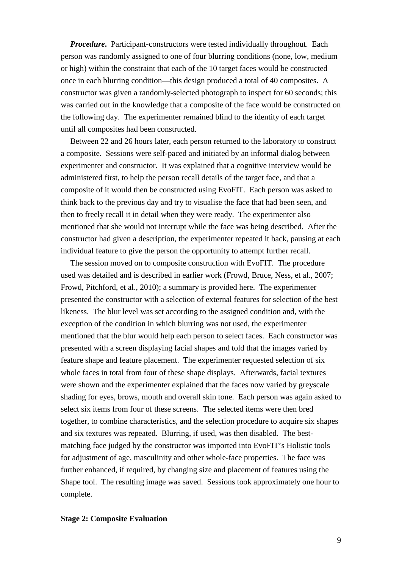*Procedure*. Participant-constructors were tested individually throughout. Each person was randomly assigned to one of four blurring conditions (none, low, medium or high) within the constraint that each of the 10 target faces would be constructed once in each blurring condition—this design produced a total of 40 composites. A constructor was given a randomly-selected photograph to inspect for 60 seconds; this was carried out in the knowledge that a composite of the face would be constructed on the following day. The experimenter remained blind to the identity of each target until all composites had been constructed.

Between 22 and 26 hours later, each person returned to the laboratory to construct a composite. Sessions were self-paced and initiated by an informal dialog between experimenter and constructor. It was explained that a cognitive interview would be administered first, to help the person recall details of the target face, and that a composite of it would then be constructed using EvoFIT. Each person was asked to think back to the previous day and try to visualise the face that had been seen, and then to freely recall it in detail when they were ready. The experimenter also mentioned that she would not interrupt while the face was being described. After the constructor had given a description, the experimenter repeated it back, pausing at each individual feature to give the person the opportunity to attempt further recall.

The session moved on to composite construction with EvoFIT. The procedure used was detailed and is described in earlier work (Frowd, Bruce, Ness, et al., 2007; Frowd, Pitchford, et al., 2010); a summary is provided here. The experimenter presented the constructor with a selection of external features for selection of the best likeness. The blur level was set according to the assigned condition and, with the exception of the condition in which blurring was not used, the experimenter mentioned that the blur would help each person to select faces. Each constructor was presented with a screen displaying facial shapes and told that the images varied by feature shape and feature placement. The experimenter requested selection of six whole faces in total from four of these shape displays. Afterwards, facial textures were shown and the experimenter explained that the faces now varied by greyscale shading for eyes, brows, mouth and overall skin tone. Each person was again asked to select six items from four of these screens. The selected items were then bred together, to combine characteristics, and the selection procedure to acquire six shapes and six textures was repeated. Blurring, if used, was then disabled. The bestmatching face judged by the constructor was imported into EvoFIT's Holistic tools for adjustment of age, masculinity and other whole-face properties. The face was further enhanced, if required, by changing size and placement of features using the Shape tool. The resulting image was saved. Sessions took approximately one hour to complete.

#### **Stage 2: Composite Evaluation**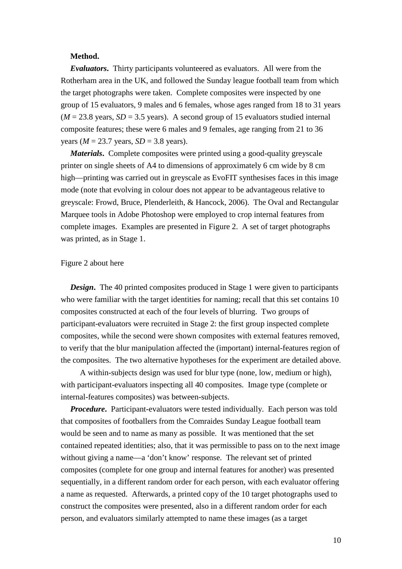#### **Method.**

*Evaluators***.** Thirty participants volunteered as evaluators. All were from the Rotherham area in the UK, and followed the Sunday league football team from which the target photographs were taken. Complete composites were inspected by one group of 15 evaluators, 9 males and 6 females, whose ages ranged from 18 to 31 years  $(M = 23.8$  years,  $SD = 3.5$  years). A second group of 15 evaluators studied internal composite features; these were 6 males and 9 females, age ranging from 21 to 36 years ( $M = 23.7$  years,  $SD = 3.8$  years).

*Materials***.** Complete composites were printed using a good-quality greyscale printer on single sheets of A4 to dimensions of approximately 6 cm wide by 8 cm high—printing was carried out in greyscale as EvoFIT synthesises faces in this image mode (note that evolving in colour does not appear to be advantageous relative to greyscale: Frowd, Bruce, Plenderleith, & Hancock, 2006). The Oval and Rectangular Marquee tools in Adobe Photoshop were employed to crop internal features from complete images. Examples are presented in Figure 2. A set of target photographs was printed, as in Stage 1.

#### Figure 2 about here

*Design*. The 40 printed composites produced in Stage 1 were given to participants who were familiar with the target identities for naming; recall that this set contains 10 composites constructed at each of the four levels of blurring. Two groups of participant-evaluators were recruited in Stage 2: the first group inspected complete composites, while the second were shown composites with external features removed, to verify that the blur manipulation affected the (important) internal-features region of the composites. The two alternative hypotheses for the experiment are detailed above.

 A within-subjects design was used for blur type (none, low, medium or high), with participant-evaluators inspecting all 40 composites. Image type (complete or internal-features composites) was between-subjects.

*Procedure***.** Participant-evaluators were tested individually. Each person was told that composites of footballers from the Comraides Sunday League football team would be seen and to name as many as possible. It was mentioned that the set contained repeated identities; also, that it was permissible to pass on to the next image without giving a name—a 'don't know' response. The relevant set of printed composites (complete for one group and internal features for another) was presented sequentially, in a different random order for each person, with each evaluator offering a name as requested. Afterwards, a printed copy of the 10 target photographs used to construct the composites were presented, also in a different random order for each person, and evaluators similarly attempted to name these images (as a target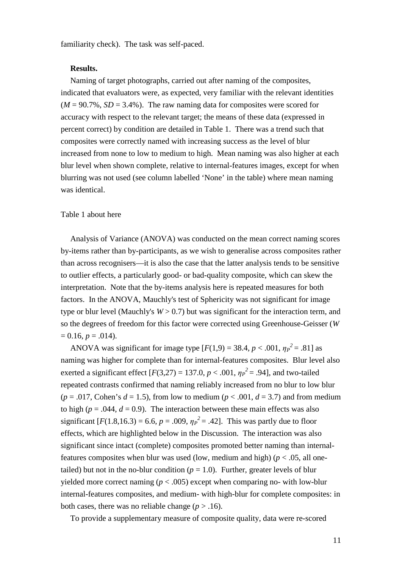familiarity check). The task was self-paced.

#### **Results.**

Naming of target photographs, carried out after naming of the composites, indicated that evaluators were, as expected, very familiar with the relevant identities  $(M = 90.7\%, SD = 3.4\%)$ . The raw naming data for composites were scored for accuracy with respect to the relevant target; the means of these data (expressed in percent correct) by condition are detailed in Table 1. There was a trend such that composites were correctly named with increasing success as the level of blur increased from none to low to medium to high. Mean naming was also higher at each blur level when shown complete, relative to internal-features images, except for when blurring was not used (see column labelled 'None' in the table) where mean naming was identical.

#### Table 1 about here

Analysis of Variance (ANOVA) was conducted on the mean correct naming scores by-items rather than by-participants, as we wish to generalise across composites rather than across recognisers—it is also the case that the latter analysis tends to be sensitive to outlier effects, a particularly good- or bad-quality composite, which can skew the interpretation. Note that the by-items analysis here is repeated measures for both factors. In the ANOVA, Mauchly's test of Sphericity was not significant for image type or blur level (Mauchly's  $W > 0.7$ ) but was significant for the interaction term, and so the degrees of freedom for this factor were corrected using Greenhouse-Geisser (*W*  $= 0.16, p = .014$ .

ANOVA was significant for image type  $[F(1,9) = 38.4, p < .001, \eta_P^2 = .81]$  as naming was higher for complete than for internal-features composites. Blur level also exerted a significant effect  $[F(3,27) = 137.0, p < .001, \eta_P^2 = .94]$ , and two-tailed repeated contrasts confirmed that naming reliably increased from no blur to low blur  $(p = .017$ , Cohen's  $d = 1.5$ ), from low to medium ( $p < .001$ ,  $d = 3.7$ ) and from medium to high ( $p = .044$ ,  $d = 0.9$ ). The interaction between these main effects was also significant  $[F(1.8, 16.3) = 6.6, p = .009, \eta_P^2 = .42]$ . This was partly due to floor effects, which are highlighted below in the Discussion. The interaction was also significant since intact (complete) composites promoted better naming than internalfeatures composites when blur was used (low, medium and high) ( $p < .05$ , all onetailed) but not in the no-blur condition ( $p = 1.0$ ). Further, greater levels of blur yielded more correct naming  $(p < .005)$  except when comparing no- with low-blur internal-features composites, and medium- with high-blur for complete composites: in both cases, there was no reliable change  $(p > .16)$ .

To provide a supplementary measure of composite quality, data were re-scored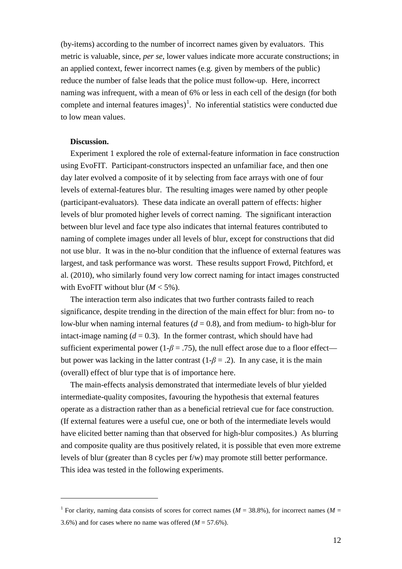(by-items) according to the number of incorrect names given by evaluators. This metric is valuable, since, *per se*, lower values indicate more accurate constructions; in an applied context, fewer incorrect names (e.g. given by members of the public) reduce the number of false leads that the police must follow-up. Here, incorrect naming was infrequent, with a mean of 6% or less in each cell of the design (for both complete and internal features images)<sup>[1](#page-12-0)</sup>. No inferential statistics were conducted due to low mean values.

#### **Discussion.**

-

Experiment 1 explored the role of external-feature information in face construction using EvoFIT. Participant-constructors inspected an unfamiliar face, and then one day later evolved a composite of it by selecting from face arrays with one of four levels of external-features blur. The resulting images were named by other people (participant-evaluators). These data indicate an overall pattern of effects: higher levels of blur promoted higher levels of correct naming. The significant interaction between blur level and face type also indicates that internal features contributed to naming of complete images under all levels of blur, except for constructions that did not use blur. It was in the no-blur condition that the influence of external features was largest, and task performance was worst. These results support Frowd, Pitchford, et al. (2010), who similarly found very low correct naming for intact images constructed with EvoFIT without blur  $(M < 5\%)$ .

The interaction term also indicates that two further contrasts failed to reach significance, despite trending in the direction of the main effect for blur: from no- to low-blur when naming internal features  $(d = 0.8)$ , and from medium- to high-blur for intact-image naming  $(d = 0.3)$ . In the former contrast, which should have had sufficient experimental power ( $1-\beta = .75$ ), the null effect arose due to a floor effect but power was lacking in the latter contrast  $(1-\beta = .2)$ . In any case, it is the main (overall) effect of blur type that is of importance here.

The main-effects analysis demonstrated that intermediate levels of blur yielded intermediate-quality composites, favouring the hypothesis that external features operate as a distraction rather than as a beneficial retrieval cue for face construction. (If external features were a useful cue, one or both of the intermediate levels would have elicited better naming than that observed for high-blur composites.) As blurring and composite quality are thus positively related, it is possible that even more extreme levels of blur (greater than 8 cycles per f/w) may promote still better performance. This idea was tested in the following experiments.

<span id="page-12-0"></span><sup>&</sup>lt;sup>1</sup> For clarity, naming data consists of scores for correct names ( $M = 38.8\%$ ), for incorrect names ( $M = 18.8\%$ ) 3.6%) and for cases where no name was offered  $(M = 57.6\%)$ .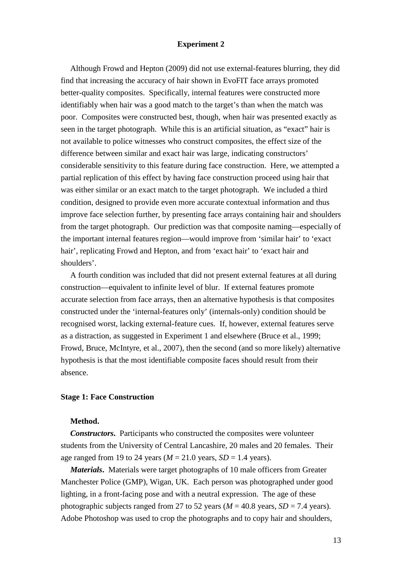#### **Experiment 2**

Although Frowd and Hepton (2009) did not use external-features blurring, they did find that increasing the accuracy of hair shown in EvoFIT face arrays promoted better-quality composites. Specifically, internal features were constructed more identifiably when hair was a good match to the target's than when the match was poor. Composites were constructed best, though, when hair was presented exactly as seen in the target photograph. While this is an artificial situation, as "exact" hair is not available to police witnesses who construct composites, the effect size of the difference between similar and exact hair was large, indicating constructors' considerable sensitivity to this feature during face construction. Here, we attempted a partial replication of this effect by having face construction proceed using hair that was either similar or an exact match to the target photograph. We included a third condition, designed to provide even more accurate contextual information and thus improve face selection further, by presenting face arrays containing hair and shoulders from the target photograph. Our prediction was that composite naming—especially of the important internal features region—would improve from 'similar hair' to 'exact hair', replicating Frowd and Hepton, and from 'exact hair' to 'exact hair and shoulders'.

A fourth condition was included that did not present external features at all during construction—equivalent to infinite level of blur. If external features promote accurate selection from face arrays, then an alternative hypothesis is that composites constructed under the 'internal-features only' (internals-only) condition should be recognised worst, lacking external-feature cues. If, however, external features serve as a distraction, as suggested in Experiment 1 and elsewhere (Bruce et al., 1999; Frowd, Bruce, McIntyre, et al., 2007), then the second (and so more likely) alternative hypothesis is that the most identifiable composite faces should result from their absence.

#### **Stage 1: Face Construction**

#### **Method.**

*Constructors***.** Participants who constructed the composites were volunteer students from the University of Central Lancashire, 20 males and 20 females. Their age ranged from 19 to 24 years ( $M = 21.0$  years,  $SD = 1.4$  years).

*Materials***.** Materials were target photographs of 10 male officers from Greater Manchester Police (GMP), Wigan, UK. Each person was photographed under good lighting, in a front-facing pose and with a neutral expression. The age of these photographic subjects ranged from 27 to 52 years ( $M = 40.8$  years,  $SD = 7.4$  years). Adobe Photoshop was used to crop the photographs and to copy hair and shoulders,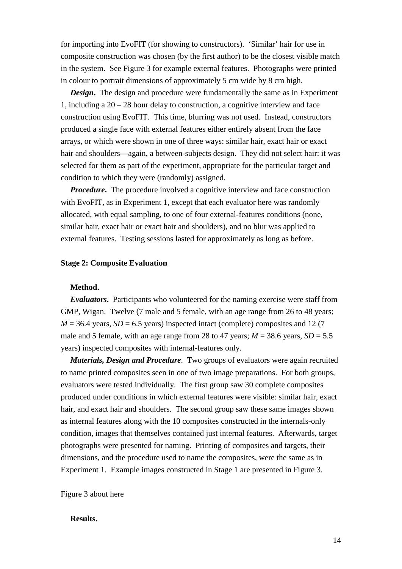for importing into EvoFIT (for showing to constructors). 'Similar' hair for use in composite construction was chosen (by the first author) to be the closest visible match in the system. See Figure 3 for example external features. Photographs were printed in colour to portrait dimensions of approximately 5 cm wide by 8 cm high.

*Design*. The design and procedure were fundamentally the same as in Experiment 1, including a 20 – 28 hour delay to construction, a cognitive interview and face construction using EvoFIT. This time, blurring was not used. Instead, constructors produced a single face with external features either entirely absent from the face arrays, or which were shown in one of three ways: similar hair, exact hair or exact hair and shoulders—again, a between-subjects design. They did not select hair: it was selected for them as part of the experiment, appropriate for the particular target and condition to which they were (randomly) assigned.

*Procedure*. The procedure involved a cognitive interview and face construction with EvoFIT, as in Experiment 1, except that each evaluator here was randomly allocated, with equal sampling, to one of four external-features conditions (none, similar hair, exact hair or exact hair and shoulders), and no blur was applied to external features. Testing sessions lasted for approximately as long as before.

#### **Stage 2: Composite Evaluation**

#### **Method.**

*Evaluators***.** Participants who volunteered for the naming exercise were staff from GMP, Wigan. Twelve (7 male and 5 female, with an age range from 26 to 48 years;  $M = 36.4$  years,  $SD = 6.5$  years) inspected intact (complete) composites and 12 (7 male and 5 female, with an age range from 28 to 47 years;  $M = 38.6$  years,  $SD = 5.5$ years) inspected composites with internal-features only.

*Materials, Design and Procedure*. Two groups of evaluators were again recruited to name printed composites seen in one of two image preparations. For both groups, evaluators were tested individually. The first group saw 30 complete composites produced under conditions in which external features were visible: similar hair, exact hair, and exact hair and shoulders. The second group saw these same images shown as internal features along with the 10 composites constructed in the internals-only condition, images that themselves contained just internal features. Afterwards, target photographs were presented for naming. Printing of composites and targets, their dimensions, and the procedure used to name the composites, were the same as in Experiment 1. Example images constructed in Stage 1 are presented in Figure 3.

Figure 3 about here

#### **Results.**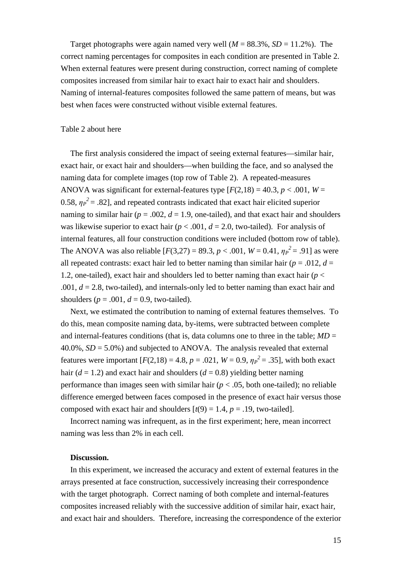Target photographs were again named very well  $(M = 88.3\%, SD = 11.2\%)$ . The correct naming percentages for composites in each condition are presented in Table 2. When external features were present during construction, correct naming of complete composites increased from similar hair to exact hair to exact hair and shoulders. Naming of internal-features composites followed the same pattern of means, but was best when faces were constructed without visible external features.

#### Table 2 about here

The first analysis considered the impact of seeing external features—similar hair, exact hair, or exact hair and shoulders—when building the face, and so analysed the naming data for complete images (top row of Table 2). A repeated-measures ANOVA was significant for external-features type  $[F(2.18) = 40.3, p < .001, W =$ 0.58,  $\eta_P^2$  = .82], and repeated contrasts indicated that exact hair elicited superior naming to similar hair ( $p = .002$ ,  $d = 1.9$ , one-tailed), and that exact hair and shoulders was likewise superior to exact hair  $(p < .001, d = 2.0,$  two-tailed). For analysis of internal features, all four construction conditions were included (bottom row of table). The ANOVA was also reliable  $[F(3,27) = 89.3, p < .001, W = 0.41, \eta_P^2 = .91]$  as were all repeated contrasts: exact hair led to better naming than similar hair ( $p = .012$ ,  $d =$ 1.2, one-tailed), exact hair and shoulders led to better naming than exact hair (*p* < .001,  $d = 2.8$ , two-tailed), and internals-only led to better naming than exact hair and shoulders ( $p = .001$ ,  $d = 0.9$ , two-tailed).

Next, we estimated the contribution to naming of external features themselves. To do this, mean composite naming data, by-items, were subtracted between complete and internal-features conditions (that is, data columns one to three in the table;  $MD =$ 40.0%,  $SD = 5.0\%$ ) and subjected to ANOVA. The analysis revealed that external features were important  $[F(2,18) = 4.8, p = .021, W = 0.9, \eta_P^2 = .35]$ , with both exact hair ( $d = 1.2$ ) and exact hair and shoulders ( $d = 0.8$ ) yielding better naming performance than images seen with similar hair  $(p < .05$ , both one-tailed); no reliable difference emerged between faces composed in the presence of exact hair versus those composed with exact hair and shoulders  $[t(9) = 1.4, p = .19$ , two-tailed].

Incorrect naming was infrequent, as in the first experiment; here, mean incorrect naming was less than 2% in each cell.

#### **Discussion.**

In this experiment, we increased the accuracy and extent of external features in the arrays presented at face construction, successively increasing their correspondence with the target photograph. Correct naming of both complete and internal-features composites increased reliably with the successive addition of similar hair, exact hair, and exact hair and shoulders. Therefore, increasing the correspondence of the exterior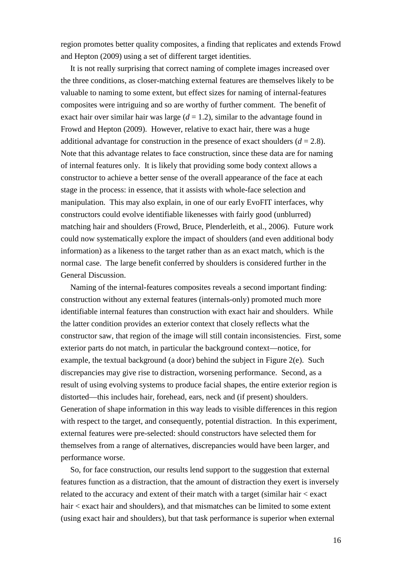region promotes better quality composites, a finding that replicates and extends Frowd and Hepton (2009) using a set of different target identities.

It is not really surprising that correct naming of complete images increased over the three conditions, as closer-matching external features are themselves likely to be valuable to naming to some extent, but effect sizes for naming of internal-features composites were intriguing and so are worthy of further comment. The benefit of exact hair over similar hair was large  $(d = 1.2)$ , similar to the advantage found in Frowd and Hepton (2009). However, relative to exact hair, there was a huge additional advantage for construction in the presence of exact shoulders  $(d = 2.8)$ . Note that this advantage relates to face construction, since these data are for naming of internal features only. It is likely that providing some body context allows a constructor to achieve a better sense of the overall appearance of the face at each stage in the process: in essence, that it assists with whole-face selection and manipulation. This may also explain, in one of our early EvoFIT interfaces, why constructors could evolve identifiable likenesses with fairly good (unblurred) matching hair and shoulders (Frowd, Bruce, Plenderleith, et al., 2006). Future work could now systematically explore the impact of shoulders (and even additional body information) as a likeness to the target rather than as an exact match, which is the normal case. The large benefit conferred by shoulders is considered further in the General Discussion.

Naming of the internal-features composites reveals a second important finding: construction without any external features (internals-only) promoted much more identifiable internal features than construction with exact hair and shoulders. While the latter condition provides an exterior context that closely reflects what the constructor saw, that region of the image will still contain inconsistencies. First, some exterior parts do not match, in particular the background context—notice, for example, the textual background (a door) behind the subject in Figure 2(e). Such discrepancies may give rise to distraction, worsening performance. Second, as a result of using evolving systems to produce facial shapes, the entire exterior region is distorted—this includes hair, forehead, ears, neck and (if present) shoulders. Generation of shape information in this way leads to visible differences in this region with respect to the target, and consequently, potential distraction. In this experiment, external features were pre-selected: should constructors have selected them for themselves from a range of alternatives, discrepancies would have been larger, and performance worse.

So, for face construction, our results lend support to the suggestion that external features function as a distraction, that the amount of distraction they exert is inversely related to the accuracy and extent of their match with a target (similar hair < exact hair  $\lt$  exact hair and shoulders), and that mismatches can be limited to some extent (using exact hair and shoulders), but that task performance is superior when external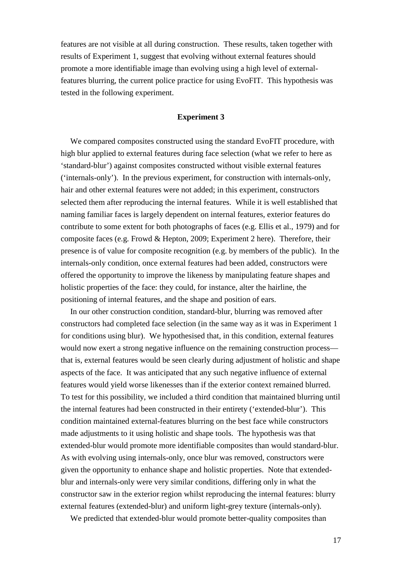features are not visible at all during construction. These results, taken together with results of Experiment 1, suggest that evolving without external features should promote a more identifiable image than evolving using a high level of externalfeatures blurring, the current police practice for using EvoFIT. This hypothesis was tested in the following experiment.

#### **Experiment 3**

We compared composites constructed using the standard EvoFIT procedure, with high blur applied to external features during face selection (what we refer to here as 'standard-blur') against composites constructed without visible external features ('internals-only'). In the previous experiment, for construction with internals-only, hair and other external features were not added; in this experiment, constructors selected them after reproducing the internal features. While it is well established that naming familiar faces is largely dependent on internal features, exterior features do contribute to some extent for both photographs of faces (e.g. Ellis et al., 1979) and for composite faces (e.g. Frowd & Hepton, 2009; Experiment 2 here). Therefore, their presence is of value for composite recognition (e.g. by members of the public). In the internals-only condition, once external features had been added, constructors were offered the opportunity to improve the likeness by manipulating feature shapes and holistic properties of the face: they could, for instance, alter the hairline, the positioning of internal features, and the shape and position of ears.

In our other construction condition, standard-blur, blurring was removed after constructors had completed face selection (in the same way as it was in Experiment 1 for conditions using blur). We hypothesised that, in this condition, external features would now exert a strong negative influence on the remaining construction process that is, external features would be seen clearly during adjustment of holistic and shape aspects of the face. It was anticipated that any such negative influence of external features would yield worse likenesses than if the exterior context remained blurred. To test for this possibility, we included a third condition that maintained blurring until the internal features had been constructed in their entirety ('extended-blur'). This condition maintained external-features blurring on the best face while constructors made adjustments to it using holistic and shape tools. The hypothesis was that extended-blur would promote more identifiable composites than would standard-blur. As with evolving using internals-only, once blur was removed, constructors were given the opportunity to enhance shape and holistic properties. Note that extendedblur and internals-only were very similar conditions, differing only in what the constructor saw in the exterior region whilst reproducing the internal features: blurry external features (extended-blur) and uniform light-grey texture (internals-only).

We predicted that extended-blur would promote better-quality composites than

17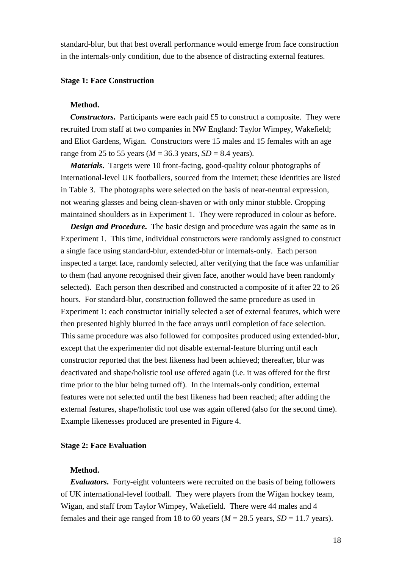standard-blur, but that best overall performance would emerge from face construction in the internals-only condition, due to the absence of distracting external features.

#### **Stage 1: Face Construction**

#### **Method.**

*Constructors***.** Participants were each paid £5 to construct a composite. They were recruited from staff at two companies in NW England: Taylor Wimpey, Wakefield; and Eliot Gardens, Wigan. Constructors were 15 males and 15 females with an age range from 25 to 55 years ( $M = 36.3$  years,  $SD = 8.4$  years).

*Materials***.** Targets were 10 front-facing, good-quality colour photographs of international-level UK footballers, sourced from the Internet; these identities are listed in Table 3. The photographs were selected on the basis of near-neutral expression, not wearing glasses and being clean-shaven or with only minor stubble. Cropping maintained shoulders as in Experiment 1. They were reproduced in colour as before.

*Design and Procedure*. The basic design and procedure was again the same as in Experiment 1. This time, individual constructors were randomly assigned to construct a single face using standard-blur, extended-blur or internals-only. Each person inspected a target face, randomly selected, after verifying that the face was unfamiliar to them (had anyone recognised their given face, another would have been randomly selected). Each person then described and constructed a composite of it after 22 to 26 hours. For standard-blur, construction followed the same procedure as used in Experiment 1: each constructor initially selected a set of external features, which were then presented highly blurred in the face arrays until completion of face selection. This same procedure was also followed for composites produced using extended-blur, except that the experimenter did not disable external-feature blurring until each constructor reported that the best likeness had been achieved; thereafter, blur was deactivated and shape/holistic tool use offered again (i.e. it was offered for the first time prior to the blur being turned off). In the internals-only condition, external features were not selected until the best likeness had been reached; after adding the external features, shape/holistic tool use was again offered (also for the second time). Example likenesses produced are presented in Figure 4.

#### **Stage 2: Face Evaluation**

#### **Method.**

*Evaluators***.** Forty-eight volunteers were recruited on the basis of being followers of UK international-level football. They were players from the Wigan hockey team, Wigan, and staff from Taylor Wimpey, Wakefield. There were 44 males and 4 females and their age ranged from 18 to 60 years ( $M = 28.5$  years,  $SD = 11.7$  years).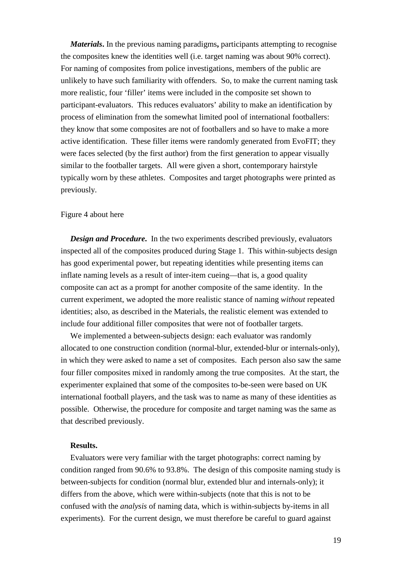*Materials***.** In the previous naming paradigms**,** participants attempting to recognise the composites knew the identities well (i.e. target naming was about 90% correct). For naming of composites from police investigations, members of the public are unlikely to have such familiarity with offenders. So, to make the current naming task more realistic, four 'filler' items were included in the composite set shown to participant-evaluators. This reduces evaluators' ability to make an identification by process of elimination from the somewhat limited pool of international footballers: they know that some composites are not of footballers and so have to make a more active identification. These filler items were randomly generated from EvoFIT; they were faces selected (by the first author) from the first generation to appear visually similar to the footballer targets. All were given a short, contemporary hairstyle typically worn by these athletes. Composites and target photographs were printed as previously.

#### Figure 4 about here

*Design and Procedure***.** In the two experiments described previously, evaluators inspected all of the composites produced during Stage 1. This within-subjects design has good experimental power, but repeating identities while presenting items can inflate naming levels as a result of inter-item cueing—that is, a good quality composite can act as a prompt for another composite of the same identity. In the current experiment, we adopted the more realistic stance of naming *without* repeated identities; also, as described in the Materials, the realistic element was extended to include four additional filler composites that were not of footballer targets.

We implemented a between-subjects design: each evaluator was randomly allocated to one construction condition (normal-blur, extended-blur or internals-only), in which they were asked to name a set of composites. Each person also saw the same four filler composites mixed in randomly among the true composites. At the start, the experimenter explained that some of the composites to-be-seen were based on UK international football players, and the task was to name as many of these identities as possible. Otherwise, the procedure for composite and target naming was the same as that described previously.

#### **Results.**

Evaluators were very familiar with the target photographs: correct naming by condition ranged from 90.6% to 93.8%. The design of this composite naming study is between-subjects for condition (normal blur, extended blur and internals-only); it differs from the above, which were within-subjects (note that this is not to be confused with the *analysis* of naming data, which is within-subjects by-items in all experiments). For the current design, we must therefore be careful to guard against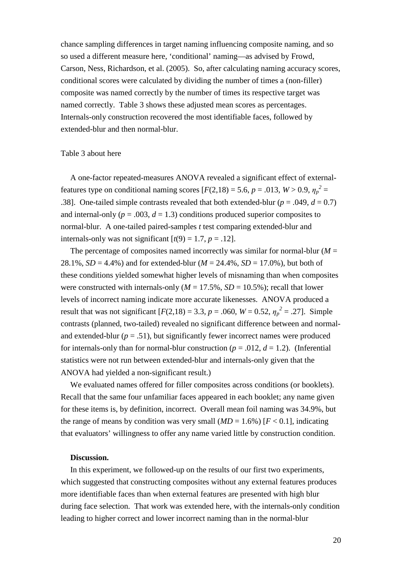chance sampling differences in target naming influencing composite naming, and so so used a different measure here, 'conditional' naming—as advised by Frowd, Carson, Ness, Richardson, et al. (2005). So, after calculating naming accuracy scores, conditional scores were calculated by dividing the number of times a (non-filler) composite was named correctly by the number of times its respective target was named correctly. Table 3 shows these adjusted mean scores as percentages. Internals-only construction recovered the most identifiable faces, followed by extended-blur and then normal-blur.

#### Table 3 about here

A one-factor repeated-measures ANOVA revealed a significant effect of externalfeatures type on conditional naming scores  $[F(2,18) = 5.6, p = .013, W > 0.9, \eta_p^2 =$ .38]. One-tailed simple contrasts revealed that both extended-blur ( $p = .049$ ,  $d = 0.7$ ) and internal-only  $(p = .003, d = 1.3)$  conditions produced superior composites to normal-blur. A one-tailed paired-samples *t* test comparing extended-blur and internals-only was not significant  $[t(9) = 1.7, p = .12]$ .

The percentage of composites named incorrectly was similar for normal-blur  $(M =$ 28.1%, *SD* = 4.4%) and for extended-blur ( $M = 24.4$ %, *SD* = 17.0%), but both of these conditions yielded somewhat higher levels of misnaming than when composites were constructed with internals-only  $(M = 17.5\%, SD = 10.5\%)$ ; recall that lower levels of incorrect naming indicate more accurate likenesses. ANOVA produced a result that was not significant  $[F(2,18) = 3.3, p = .060, W = 0.52, \eta_p^2 = .27]$ . Simple contrasts (planned, two-tailed) revealed no significant difference between and normaland extended-blur  $(p = .51)$ , but significantly fewer incorrect names were produced for internals-only than for normal-blur construction ( $p = .012$ ,  $d = 1.2$ ). (Inferential statistics were not run between extended-blur and internals-only given that the ANOVA had yielded a non-significant result.)

We evaluated names offered for filler composites across conditions (or booklets). Recall that the same four unfamiliar faces appeared in each booklet; any name given for these items is, by definition, incorrect. Overall mean foil naming was 34.9%, but the range of means by condition was very small  $(MD = 1.6\%)$  [ $F < 0.1$ ], indicating that evaluators' willingness to offer any name varied little by construction condition.

#### **Discussion.**

In this experiment, we followed-up on the results of our first two experiments, which suggested that constructing composites without any external features produces more identifiable faces than when external features are presented with high blur during face selection. That work was extended here, with the internals-only condition leading to higher correct and lower incorrect naming than in the normal-blur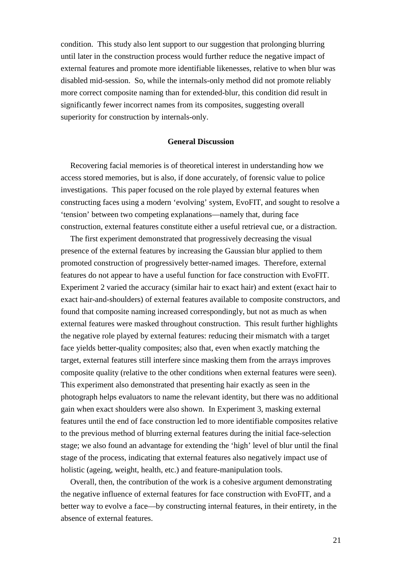condition. This study also lent support to our suggestion that prolonging blurring until later in the construction process would further reduce the negative impact of external features and promote more identifiable likenesses, relative to when blur was disabled mid-session. So, while the internals-only method did not promote reliably more correct composite naming than for extended-blur, this condition did result in significantly fewer incorrect names from its composites, suggesting overall superiority for construction by internals-only.

#### **General Discussion**

Recovering facial memories is of theoretical interest in understanding how we access stored memories, but is also, if done accurately, of forensic value to police investigations. This paper focused on the role played by external features when constructing faces using a modern 'evolving' system, EvoFIT, and sought to resolve a 'tension' between two competing explanations—namely that, during face construction, external features constitute either a useful retrieval cue, or a distraction.

The first experiment demonstrated that progressively decreasing the visual presence of the external features by increasing the Gaussian blur applied to them promoted construction of progressively better-named images. Therefore, external features do not appear to have a useful function for face construction with EvoFIT. Experiment 2 varied the accuracy (similar hair to exact hair) and extent (exact hair to exact hair-and-shoulders) of external features available to composite constructors, and found that composite naming increased correspondingly, but not as much as when external features were masked throughout construction. This result further highlights the negative role played by external features: reducing their mismatch with a target face yields better-quality composites; also that, even when exactly matching the target, external features still interfere since masking them from the arrays improves composite quality (relative to the other conditions when external features were seen). This experiment also demonstrated that presenting hair exactly as seen in the photograph helps evaluators to name the relevant identity, but there was no additional gain when exact shoulders were also shown. In Experiment 3, masking external features until the end of face construction led to more identifiable composites relative to the previous method of blurring external features during the initial face-selection stage; we also found an advantage for extending the 'high' level of blur until the final stage of the process, indicating that external features also negatively impact use of holistic (ageing, weight, health, etc.) and feature-manipulation tools.

Overall, then, the contribution of the work is a cohesive argument demonstrating the negative influence of external features for face construction with EvoFIT, and a better way to evolve a face—by constructing internal features, in their entirety, in the absence of external features.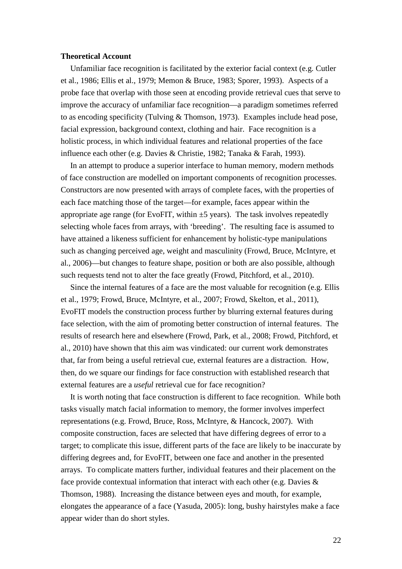#### **Theoretical Account**

Unfamiliar face recognition is facilitated by the exterior facial context (e.g. Cutler et al., 1986; Ellis et al., 1979; Memon & Bruce, 1983; Sporer, 1993). Aspects of a probe face that overlap with those seen at encoding provide retrieval cues that serve to improve the accuracy of unfamiliar face recognition—a paradigm sometimes referred to as encoding specificity (Tulving & Thomson, 1973). Examples include head pose, facial expression, background context, clothing and hair. Face recognition is a holistic process, in which individual features and relational properties of the face influence each other (e.g. Davies & Christie, 1982; Tanaka & Farah, 1993).

In an attempt to produce a superior interface to human memory, modern methods of face construction are modelled on important components of recognition processes. Constructors are now presented with arrays of complete faces, with the properties of each face matching those of the target—for example, faces appear within the appropriate age range (for EvoFIT, within  $\pm 5$  years). The task involves repeatedly selecting whole faces from arrays, with 'breeding'. The resulting face is assumed to have attained a likeness sufficient for enhancement by holistic-type manipulations such as changing perceived age, weight and masculinity (Frowd, Bruce, McIntyre, et al., 2006)—but changes to feature shape, position or both are also possible, although such requests tend not to alter the face greatly (Frowd, Pitchford, et al., 2010).

Since the internal features of a face are the most valuable for recognition (e.g. Ellis et al., 1979; Frowd, Bruce, McIntyre, et al., 2007; Frowd, Skelton, et al., 2011), EvoFIT models the construction process further by blurring external features during face selection, with the aim of promoting better construction of internal features. The results of research here and elsewhere (Frowd, Park, et al., 2008; Frowd, Pitchford, et al., 2010) have shown that this aim was vindicated: our current work demonstrates that, far from being a useful retrieval cue, external features are a distraction. How, then, do we square our findings for face construction with established research that external features are a *useful* retrieval cue for face recognition?

It is worth noting that face construction is different to face recognition. While both tasks visually match facial information to memory, the former involves imperfect representations (e.g. Frowd, Bruce, Ross, McIntyre, & Hancock, 2007). With composite construction, faces are selected that have differing degrees of error to a target; to complicate this issue, different parts of the face are likely to be inaccurate by differing degrees and, for EvoFIT, between one face and another in the presented arrays. To complicate matters further, individual features and their placement on the face provide contextual information that interact with each other (e.g. Davies & Thomson, 1988). Increasing the distance between eyes and mouth, for example, elongates the appearance of a face (Yasuda, 2005): long, bushy hairstyles make a face appear wider than do short styles.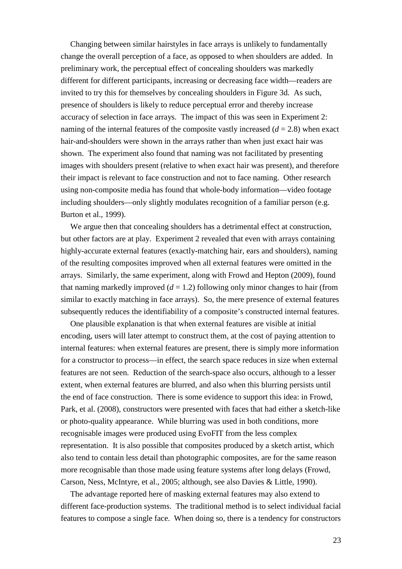Changing between similar hairstyles in face arrays is unlikely to fundamentally change the overall perception of a face, as opposed to when shoulders are added. In preliminary work, the perceptual effect of concealing shoulders was markedly different for different participants, increasing or decreasing face width—readers are invited to try this for themselves by concealing shoulders in Figure 3d. As such, presence of shoulders is likely to reduce perceptual error and thereby increase accuracy of selection in face arrays. The impact of this was seen in Experiment 2: naming of the internal features of the composite vastly increased  $(d = 2.8)$  when exact hair-and-shoulders were shown in the arrays rather than when just exact hair was shown. The experiment also found that naming was not facilitated by presenting images with shoulders present (relative to when exact hair was present), and therefore their impact is relevant to face construction and not to face naming. Other research using non-composite media has found that whole-body information—video footage including shoulders—only slightly modulates recognition of a familiar person (e.g. Burton et al., 1999).

We argue then that concealing shoulders has a detrimental effect at construction, but other factors are at play. Experiment 2 revealed that even with arrays containing highly-accurate external features (exactly-matching hair, ears and shoulders), naming of the resulting composites improved when all external features were omitted in the arrays. Similarly, the same experiment, along with Frowd and Hepton (2009), found that naming markedly improved  $(d = 1.2)$  following only minor changes to hair (from similar to exactly matching in face arrays). So, the mere presence of external features subsequently reduces the identifiability of a composite's constructed internal features.

One plausible explanation is that when external features are visible at initial encoding, users will later attempt to construct them, at the cost of paying attention to internal features: when external features are present, there is simply more information for a constructor to process—in effect, the search space reduces in size when external features are not seen. Reduction of the search-space also occurs, although to a lesser extent, when external features are blurred, and also when this blurring persists until the end of face construction. There is some evidence to support this idea: in Frowd, Park, et al. (2008), constructors were presented with faces that had either a sketch-like or photo-quality appearance. While blurring was used in both conditions, more recognisable images were produced using EvoFIT from the less complex representation. It is also possible that composites produced by a sketch artist, which also tend to contain less detail than photographic composites, are for the same reason more recognisable than those made using feature systems after long delays (Frowd, Carson, Ness, McIntyre, et al., 2005; although, see also Davies & Little, 1990).

The advantage reported here of masking external features may also extend to different face-production systems. The traditional method is to select individual facial features to compose a single face. When doing so, there is a tendency for constructors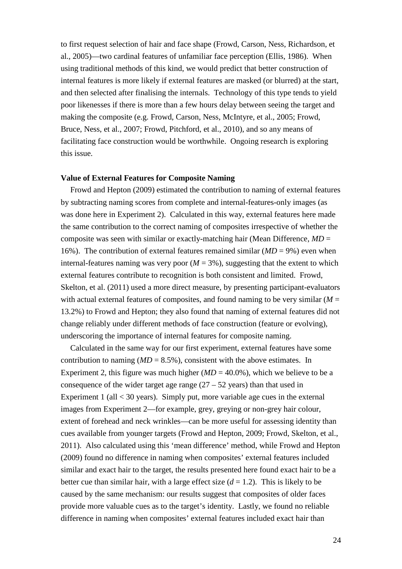to first request selection of hair and face shape (Frowd, Carson, Ness, Richardson, et al., 2005)—two cardinal features of unfamiliar face perception (Ellis, 1986). When using traditional methods of this kind, we would predict that better construction of internal features is more likely if external features are masked (or blurred) at the start, and then selected after finalising the internals. Technology of this type tends to yield poor likenesses if there is more than a few hours delay between seeing the target and making the composite (e.g. Frowd, Carson, Ness, McIntyre, et al., 2005; Frowd, Bruce, Ness, et al., 2007; Frowd, Pitchford, et al., 2010), and so any means of facilitating face construction would be worthwhile. Ongoing research is exploring this issue.

#### **Value of External Features for Composite Naming**

Frowd and Hepton (2009) estimated the contribution to naming of external features by subtracting naming scores from complete and internal-features-only images (as was done here in Experiment 2). Calculated in this way, external features here made the same contribution to the correct naming of composites irrespective of whether the composite was seen with similar or exactly-matching hair (Mean Difference, *MD* = 16%). The contribution of external features remained similar (*MD* = 9%) even when internal-features naming was very poor  $(M = 3\%)$ , suggesting that the extent to which external features contribute to recognition is both consistent and limited. Frowd, Skelton, et al. (2011) used a more direct measure, by presenting participant-evaluators with actual external features of composites, and found naming to be very similar  $(M =$ 13.2%) to Frowd and Hepton; they also found that naming of external features did not change reliably under different methods of face construction (feature or evolving), underscoring the importance of internal features for composite naming.

Calculated in the same way for our first experiment, external features have some contribution to naming  $(MD = 8.5\%)$ , consistent with the above estimates. In Experiment 2, this figure was much higher  $(MD = 40.0\%)$ , which we believe to be a consequence of the wider target age range  $(27 – 52 \text{ years})$  than that used in Experiment 1 (all  $<$  30 years). Simply put, more variable age cues in the external images from Experiment 2—for example, grey, greying or non-grey hair colour, extent of forehead and neck wrinkles—can be more useful for assessing identity than cues available from younger targets (Frowd and Hepton, 2009; Frowd, Skelton, et al., 2011). Also calculated using this 'mean difference' method, while Frowd and Hepton (2009) found no difference in naming when composites' external features included similar and exact hair to the target, the results presented here found exact hair to be a better cue than similar hair, with a large effect size  $(d = 1.2)$ . This is likely to be caused by the same mechanism: our results suggest that composites of older faces provide more valuable cues as to the target's identity. Lastly, we found no reliable difference in naming when composites' external features included exact hair than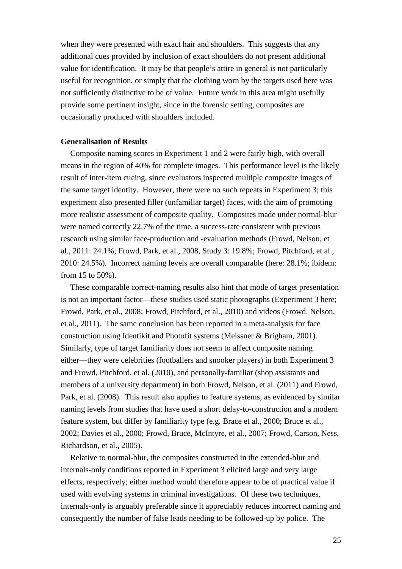when they were presented with exact hair and shoulders. This suggests that any additional cues provided by inclusion of exact shoulders do not present additional value for identification. It may be that people's attire in general is not particularly useful for recognition, or simply that the clothing worn by the targets used here was not sufficiently distinctive to be of value. Future work in this area might usefully provide some pertinent insight, since in the forensic setting, composites are occasionally produced with shoulders included.

#### **Generalisation of Results**

Composite naming scores in Experiment 1 and 2 were fairly high, with overall means in the region of 40% for complete images. This performance level is the likely result of inter-item cueing, since evaluators inspected multiple composite images of the same target identity. However, there were no such repeats in Experiment 3; this experiment also presented filler (unfamiliar target) faces, with the aim of promoting more realistic assessment of composite quality. Composites made under normal-blur were named correctly 22.7% of the time, a success-rate consistent with previous research using similar face-production and -evaluation methods (Frowd, Nelson, et al., 2011: 24.1%; Frowd, Park, et al., 2008, Study 3: 19.8%; Frowd, Pitchford, et al., 2010: 24.5%). Incorrect naming levels are overall comparable (here: 28.1%; ibidem: from 15 to 50%).

These comparable correct-naming results also hint that mode of target presentation is not an important factor—these studies used static photographs (Experiment 3 here; Frowd, Park, et al., 2008; Frowd, Pitchford, et al., 2010) and videos (Frowd, Nelson, et al., 2011). The same conclusion has been reported in a meta-analysis for face construction using Identikit and Photofit systems (Meissner & Brigham, 2001). Similarly, type of target familiarity does not seem to affect composite naming either—they were celebrities (footballers and snooker players) in both Experiment 3 and Frowd, Pitchford, et al. (2010), and personally-familiar (shop assistants and members of a university department) in both Frowd, Nelson, et al. (2011) and Frowd, Park, et al. (2008). This result also applies to feature systems, as evidenced by similar naming levels from studies that have used a short delay-to-construction and a modern feature system, but differ by familiarity type (e.g. Brace et al., 2000; Bruce et al., 2002; Davies et al., 2000; Frowd, Bruce, McIntyre, et al., 2007; Frowd, Carson, Ness, Richardson, et al., 2005).

Relative to normal-blur, the composites constructed in the extended-blur and internals-only conditions reported in Experiment 3 elicited large and very large effects, respectively; either method would therefore appear to be of practical value if used with evolving systems in criminal investigations. Of these two techniques, internals-only is arguably preferable since it appreciably reduces incorrect naming and consequently the number of false leads needing to be followed-up by police. The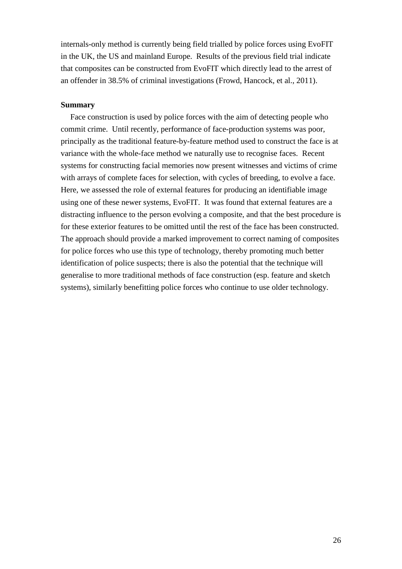internals-only method is currently being field trialled by police forces using EvoFIT in the UK, the US and mainland Europe. Results of the previous field trial indicate that composites can be constructed from EvoFIT which directly lead to the arrest of an offender in 38.5% of criminal investigations (Frowd, Hancock, et al., 2011).

#### **Summary**

Face construction is used by police forces with the aim of detecting people who commit crime. Until recently, performance of face-production systems was poor, principally as the traditional feature-by-feature method used to construct the face is at variance with the whole-face method we naturally use to recognise faces. Recent systems for constructing facial memories now present witnesses and victims of crime with arrays of complete faces for selection, with cycles of breeding, to evolve a face. Here, we assessed the role of external features for producing an identifiable image using one of these newer systems, EvoFIT. It was found that external features are a distracting influence to the person evolving a composite, and that the best procedure is for these exterior features to be omitted until the rest of the face has been constructed. The approach should provide a marked improvement to correct naming of composites for police forces who use this type of technology, thereby promoting much better identification of police suspects; there is also the potential that the technique will generalise to more traditional methods of face construction (esp. feature and sketch systems), similarly benefitting police forces who continue to use older technology.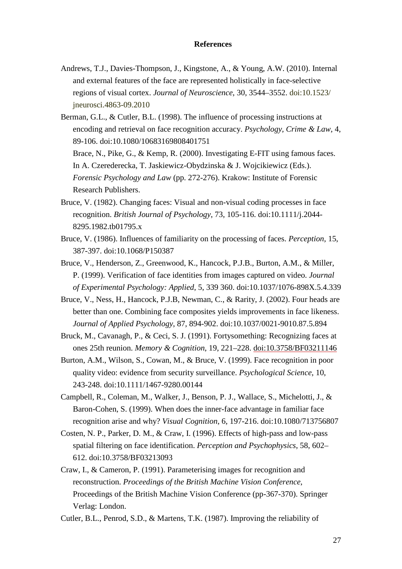#### **References**

- Andrews, T.J., Davies-Thompson, J., Kingstone, A., & Young, A.W. (2010). Internal and external features of the face are represented holistically in face-selective regions of visual cortex. *Journal of Neuroscience*, 30, 3544–3552. doi:10.1523/ jneurosci.4863-09.2010
- Berman, G.L., & Cutler, B.L. (1998). The influence of processing instructions at encoding and retrieval on face recognition accuracy. *Psychology, Crime & Law*, 4, 89-106. doi:10.1080/10683169808401751 Brace, N., Pike, G., & Kemp, R. (2000). Investigating E-FIT using famous faces. In A. Czerederecka, T. Jaskiewicz-Obydzinska & J. Wojcikiewicz (Eds.). *Forensic Psychology and Law* (pp. 272-276). Krakow: Institute of Forensic Research Publishers.
- Bruce, V. (1982). Changing faces: Visual and non-visual coding processes in face recognition. *British Journal of Psychology*, 73, 105-116. doi:10.1111/j.2044- 8295.1982.tb01795.x
- Bruce, V. (1986). Influences of familiarity on the processing of faces. *Perception*, 15, 387-397. doi:10.1068/P150387
- Bruce, V., Henderson, Z., Greenwood, K., Hancock, P.J.B., Burton, A.M., & Miller, P. (1999). Verification of face identities from images captured on video. *Journal of Experimental Psychology: Applied*, 5, 339 360. doi:10.1037/1076-898X.5.4.339
- Bruce, V., Ness, H., Hancock, P.J.B, Newman, C., & Rarity, J. (2002). Four heads are better than one. Combining face composites yields improvements in face likeness. *Journal of Applied Psychology*, 87, 894-902. doi:10.1037/0021-9010.87.5.894
- Bruck, M., Cavanagh, P., & Ceci, S. J. (1991). Fortysomething: Recognizing faces at ones 25th reunion. *Memory & Cognition*, 19, 221–228. doi:10.3758/BF03211146
- Burton, A.M., Wilson, S., Cowan, M., & Bruce, V. (1999). Face recognition in poor quality video: evidence from security surveillance. *Psychological Science*, 10, 243-248. doi:10.1111/1467-9280.00144
- Campbell, R., Coleman, M., Walker, J., Benson, P. J., Wallace, S., Michelotti, J., & Baron-Cohen, S. (1999). When does the inner-face advantage in familiar face recognition arise and why? *Visual Cognition*, 6, 197-216. doi:10.1080/713756807
- Costen, N. P., Parker, D. M., & Craw, I. (1996). Effects of high-pass and low-pass spatial filtering on face identification. *Perception and Psychophysics*, 58, 602– 612. doi:10.3758/BF03213093
- Craw, I., & Cameron, P. (1991). Parameterising images for recognition and reconstruction. *Proceedings of the British Machine Vision Conference*, Proceedings of the British Machine Vision Conference (pp-367-370). Springer Verlag: London.
- Cutler, B.L., Penrod, S.D., & Martens, T.K. (1987). Improving the reliability of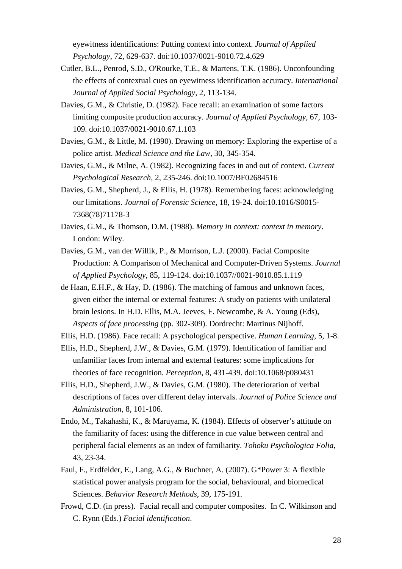eyewitness identifications: Putting context into context. *Journal of Applied Psychology*, 72, 629-637. doi:10.1037/0021-9010.72.4.629

- Cutler, B.L., Penrod, S.D., O'Rourke, T.E., & Martens, T.K. (1986). Unconfounding the effects of contextual cues on eyewitness identification accuracy. *International Journal of Applied Social Psychology*, 2, 113-134.
- Davies, G.M., & Christie, D. (1982). Face recall: an examination of some factors limiting composite production accuracy. *Journal of Applied Psychology*, 67, 103- 109. doi:10.1037/0021-9010.67.1.103
- Davies, G.M., & Little, M. (1990). Drawing on memory: Exploring the expertise of a police artist. *Medical Science and the Law*, 30, 345-354.
- Davies, G.M., & Milne, A. (1982). Recognizing faces in and out of context. *Current Psychological Research*, 2, 235-246. doi:10.1007/BF02684516
- Davies, G.M., Shepherd, J., & Ellis, H. (1978). Remembering faces: acknowledging our limitations. *Journal of Forensic Science*, 18, 19-24. doi:10.1016/S0015- 7368(78)71178-3
- Davies, G.M., & Thomson, D.M. (1988). *Memory in context: context in memory*. London: Wiley.
- Davies, G.M., van der Willik, P., & Morrison, L.J. (2000). Facial Composite Production: A Comparison of Mechanical and Computer-Driven Systems. *Journal of Applied Psychology*, 85, 119-124. [doi:10.1037//0021-9010.85.1.119](http://dx.doi.org/10.1037%2F%2F0021-9010.85.1.119)
- de Haan, E.H.F., & Hay, D. (1986). The matching of famous and unknown faces, given either the internal or external features: A study on patients with unilateral brain lesions. In H.D. Ellis, M.A. Jeeves, F. Newcombe, & A. Young (Eds), *Aspects of face processing* (pp. 302-309). Dordrecht: Martinus Nijhoff.
- Ellis, H.D. (1986). Face recall: A psychological perspective. *Human Learning*, 5, 1-8.
- Ellis, H.D., Shepherd, J.W., & Davies, G.M. (1979). Identification of familiar and unfamiliar faces from internal and external features: some implications for theories of face recognition. *Perception*, 8, 431-439. [doi:10.1068/p080431](http://dx.doi.org/10.1068%2Fp080431)
- Ellis, H.D., Shepherd, J.W., & Davies, G.M. (1980). The deterioration of verbal descriptions of faces over different delay intervals. *Journal of Police Science and Administration*, 8, 101-106.
- Endo, M., Takahashi, K., & Maruyama, K. (1984). Effects of observer's attitude on the familiarity of faces: using the difference in cue value between central and peripheral facial elements as an index of familiarity. *Tohoku Psychologica Folia*, 43, 23-34.
- Faul, F., Erdfelder, E., Lang, A.G., & Buchner, A. (2007). G\*Power 3: A flexible statistical power analysis program for the social, behavioural, and biomedical Sciences. *Behavior Research Methods*, 39, 175-191.
- Frowd, C.D. (in press). Facial recall and computer composites. In C. Wilkinson and C. Rynn (Eds.) *Facial identification*.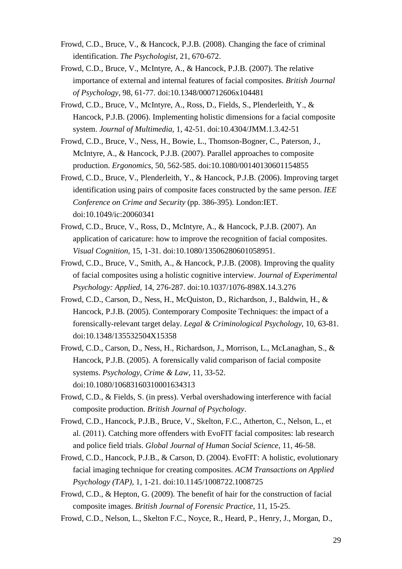- Frowd, C.D., Bruce, V., & Hancock, P.J.B. (2008). Changing the face of criminal identification. *The Psychologist*, 21, 670-672.
- Frowd, C.D., Bruce, V., McIntyre, A., & Hancock, P.J.B. (2007). The relative importance of external and internal features of facial composites. *British Journal of Psychology*, 98, 61-77. doi:10.1348/000712606x104481
- Frowd, C.D., Bruce, V., McIntyre, A., Ross, D., Fields, S., Plenderleith, Y., & Hancock, P.J.B. (2006). Implementing holistic dimensions for a facial composite system. *Journal of Multimedia*, 1, 42-51. [doi:10.4304/JMM.1.3.42-51](http://dx.doi.org/10.4304%2Fjmm.1.3.42-51)
- Frowd, C.D., Bruce, V., Ness, H., Bowie, L., Thomson-Bogner, C., Paterson, J., McIntyre, A., & Hancock, P.J.B. (2007). Parallel approaches to composite production. *Ergonomics*, 50, 562-585. [doi:10.1080/00140130601154855](http://dx.doi.org/10.1080%2F00140130601154855)
- Frowd, C.D., Bruce, V., Plenderleith, Y., & Hancock, P.J.B. (2006). Improving target identification using pairs of composite faces constructed by the same person. *IEE Conference on Crime and Security* (pp. 386-395). London:IET. [doi:10.1049/ic:20060341](http://dx.doi.org/10.1049%2Fic%3A20060341)
- Frowd, C.D., Bruce, V., Ross, D., McIntyre, A., & Hancock, P.J.B. (2007). An application of caricature: how to improve the recognition of facial composites. *Visual Cognition*, 15, 1-31. doi:10.1080/13506280601058951.
- Frowd, C.D., Bruce, V., Smith, A., & Hancock, P.J.B. (2008). Improving the quality of facial composites using a holistic cognitive interview. *Journal of Experimental Psychology: Applied*, 14, 276-287. [doi:10.1037/1076-898X.14.3.276](http://dx.doi.org/10.1037%2F1076-898X.14.3.276)
- Frowd, C.D., Carson, D., Ness, H., McQuiston, D., Richardson, J., Baldwin, H., & Hancock, P.J.B. (2005). Contemporary Composite Techniques: the impact of a forensically-relevant target delay. *Legal & Criminological Psychology*, 10, 63-81. [doi:10.1348/135532504X15358](http://dx.doi.org/10.1348%2F135532504X15358)
- Frowd, C.D., Carson, D., Ness, H., Richardson, J., Morrison, L., McLanaghan, S., & Hancock, P.J.B. (2005). A forensically valid comparison of facial composite systems. *Psychology, Crime & Law*, 11, 33-52. [doi:10.1080/10683160310001634313](http://dx.doi.org/10.1080%2F10683160310001634313)
- Frowd, C.D., & Fields, S. (in press). Verbal overshadowing interference with facial composite production. *British Journal of Psychology*.
- Frowd, C.D., Hancock, P.J.B., Bruce, V., Skelton, F.C., Atherton, C., Nelson, L., et al. (2011). Catching more offenders with EvoFIT facial composites: lab research and police field trials. *Global Journal of Human Social Science*, 11, 46-58.
- Frowd, C.D., Hancock, P.J.B., & Carson, D. (2004). EvoFIT: A holistic, evolutionary facial imaging technique for creating composites. *ACM Transactions on Applied Psychology (TAP)*, 1, 1-21. [doi:10.1145/1008722.1008725](http://dx.doi.org/10.1145%2F1008722.1008725)
- Frowd, C.D., & Hepton, G. (2009). The benefit of hair for the construction of facial composite images. *British Journal of Forensic Practice*, 11, 15-25.
- Frowd, C.D., Nelson, L., Skelton F.C., Noyce, R., Heard, P., Henry, J., Morgan, D.,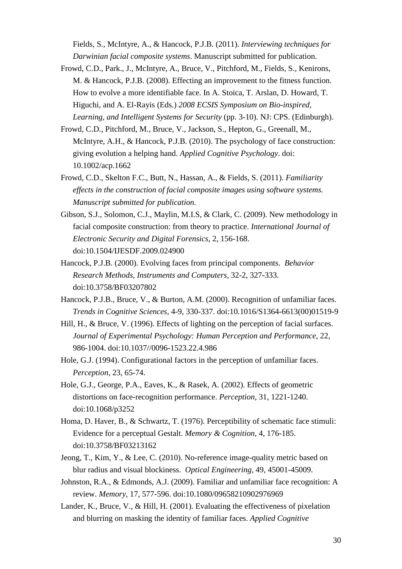Fields, S., McIntyre, A., & Hancock, P.J.B. (2011). *Interviewing techniques for Darwinian facial composite systems*. Manuscript submitted for publication.

- Frowd, C.D., Park., J., McIntyre, A., Bruce, V., Pitchford, M., Fields, S., Kenirons, M. & Hancock, P.J.B. (2008). Effecting an improvement to the fitness function. How to evolve a more identifiable face. In A. Stoica, T. Arslan, D. Howard, T. Higuchi, and A. El-Rayis (Eds.) *2008 ECSIS Symposium on Bio-inspired, Learning, and Intelligent Systems for Security* (pp. 3-10). NJ: CPS. (Edinburgh).
- Frowd, C.D., Pitchford, M., Bruce, V., Jackson, S., Hepton, G., Greenall, M., McIntyre, A.H., & Hancock, P.J.B. (2010). The psychology of face construction: giving evolution a helping hand. *Applied Cognitive Psychology*. doi: 10.1002/acp.1662
- Frowd, C.D., Skelton F.C., Butt, N., Hassan, A., & Fields, S. (2011). *Familiarity effects in the construction of facial composite images using software systems. Manuscript submitted for publication.*
- Gibson, S.J., Solomon, C.J., Maylin, M.I.S, & Clark, C. (2009). New methodology in facial composite construction: from theory to practice. *International Journal of Electronic Security and Digital Forensics*, 2, 156-168. [doi:10.1504/IJESDF.2009.024900](http://dx.doi.org/10.1504%2FIJESDF.2009.024900)
- Hancock, P.J.B. (2000). Evolving faces from principal components. *Behavior Research Methods, Instruments and Computers*, 32-2, 327-333. [doi:10.3758/BF03207802](http://dx.doi.org/10.3758%2FBF03207802)
- Hancock, P.J.B., Bruce, V., & Burton, A.M. (2000). Recognition of unfamiliar faces. *Trends in Cognitive Sciences*, 4-9, 330-337. [doi:10.1016/S1364-6613\(00\)01519-9](http://dx.doi.org/10.1016%2FS1364-6613%2800%2901519-9)
- Hill, H., & Bruce, V. (1996). Effects of lighting on the perception of facial surfaces. *Journal of Experimental Psychology: Human Perception and Performance*, 22, 986-1004. [doi:10.1037//0096-1523.22.4.986](http://dx.doi.org/10.1037%2F%2F0096-1523.22.4.986)
- Hole, G.J. (1994). Configurational factors in the perception of unfamiliar faces. *Perception*, 23, 65-74.
- Hole, G.J., George, P.A., Eaves, K., & Rasek, A. (2002). Effects of geometric distortions on face-recognition performance. *Perception*, 31, 1221-1240. [doi:10.1068/p3252](http://dx.doi.org/10.1068%2Fp3252)
- Homa, D. Haver, B., & Schwartz, T. (1976). Perceptibility of schematic face stimuli: Evidence for a perceptual Gestalt. *Memory & Cognition*, 4, 176-185. [doi:10.3758/BF03213162](http://dx.doi.org/10.3758%2FBF03213162)
- Jeong, T., Kim, Y., & Lee, C. (2010). No-reference image-quality metric based on blur radius and visual blockiness. *Optical Engineering*, 49, 45001-45009.
- Johnston, R.A., & Edmonds, A.J. (2009). Familiar and unfamiliar face recognition: A review. *Memory*, 17, 577-596. [doi:10.1080/09658210902976969](http://dx.doi.org/10.1080%2F09658210902976969)
- Lander, K., Bruce, V., & Hill, H. (2001). Evaluating the effectiveness of pixelation and blurring on masking the identity of familiar faces. *Applied Cognitive*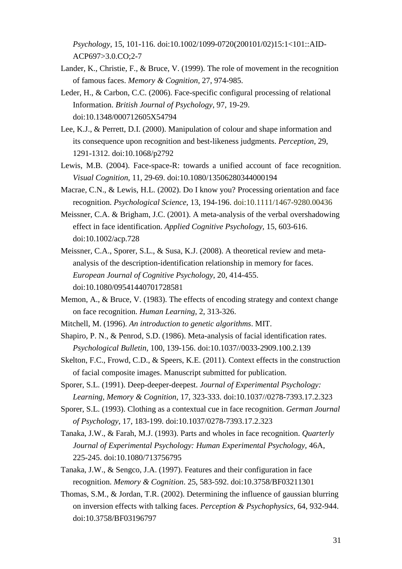*Psychology*, 15, 101-116. [doi:10.1002/1099-0720\(200101/02\)15:1<101::AID-](http://dx.doi.org/10.1002%2F1099-0720%28200101%2F02%2915%3A1%3C101%3A%3AAID-ACP697%3E3.0.CO%3B2-7)[ACP697>3.0.CO;2-7](http://dx.doi.org/10.1002%2F1099-0720%28200101%2F02%2915%3A1%3C101%3A%3AAID-ACP697%3E3.0.CO%3B2-7)

- Lander, K., Christie, F., & Bruce, V. (1999). The role of movement in the recognition of famous faces. *Memory & Cognition*, 27, 974-985.
- Leder, H., & Carbon, C.C. (2006). Face-specific configural processing of relational Information. *British Journal of Psychology*, 97, 19-29. [doi:10.1348/000712605X54794](http://dx.doi.org/10.1348%2F000712605X54794)
- Lee, K.J., & Perrett, D.I. (2000). Manipulation of colour and shape information and its consequence upon recognition and best-likeness judgments. *Perception*, 29, 1291-1312. doi:10.1068/p2792
- Lewis, M.B. (2004). Face-space-R: towards a unified account of face recognition. *Visual Cognition*, 11, 29-69. [doi:10.1080/13506280344000194](http://dx.doi.org/10.1080%2F13506280344000194)
- Macrae, C.N., & Lewis, H.L. (2002). Do I know you? Processing orientation and face recognition. *Psychological Science*, 13, 194-196. doi:10.1111/1467-9280.00436
- Meissner, C.A. & Brigham, J.C. (2001). A meta-analysis of the verbal overshadowing effect in face identification. *Applied Cognitive Psychology*, 15, 603-616. [doi:10.1002/acp.728](http://dx.doi.org/10.1002%2Facp.728)
- Meissner, C.A., Sporer, S.L., & Susa, K.J. (2008). A theoretical review and metaanalysis of the description-identification relationship in memory for faces. *European Journal of Cognitive Psychology*, 20, 414-455. [doi:10.1080/09541440701728581](http://dx.doi.org/10.1080%2F09541440701728581)
- Memon, A., & Bruce, V. (1983). The effects of encoding strategy and context change on face recognition. *Human Learning*, 2, 313-326.
- Mitchell, M. (1996). *An introduction to genetic algorithms*. MIT.
- Shapiro, P. N., & Penrod, S.D. (1986). Meta-analysis of facial identification rates. *Psychological Bulletin*, 100, 139-156. [doi:10.1037//0033-2909.100.2.139](http://dx.doi.org/10.1037%2F%2F0033-2909.100.2.139)
- Skelton, F.C., Frowd, C.D., & Speers, K.E. (2011). Context effects in the construction of facial composite images. Manuscript submitted for publication.
- Sporer, S.L. (1991). Deep-deeper-deepest. *Journal of Experimental Psychology: Learning, Memory & Cognition*, 17, 323-333. [doi:10.1037//0278-7393.17.2.323](http://dx.doi.org/10.1037%2F%2F0278-7393.17.2.323)
- Sporer, S.L. (1993). Clothing as a contextual cue in face recognition. *German Journal of Psychology*, 17, 183-199. doi:10.1037/0278-7393.17.2.323
- Tanaka, J.W., & Farah, M.J. (1993). Parts and wholes in face recognition. *Quarterly Journal of Experimental Psychology: Human Experimental Psychology*, 46A, 225-245. [doi:10.1080/713756795](http://dx.doi.org/10.1080%2F713756795)
- Tanaka, J.W., & Sengco, J.A. (1997). Features and their configuration in face recognition. *Memory & Cognition*. 25, 583-592. [doi:10.3758/BF03211301](http://dx.doi.org/10.3758%2FBF03211301)
- Thomas, S.M., & Jordan, T.R. (2002). Determining the influence of gaussian blurring on inversion effects with talking faces. *Perception & Psychophysics*, 64, 932-944. [doi:10.3758/BF03196797](http://dx.doi.org/10.3758%2FBF03196797)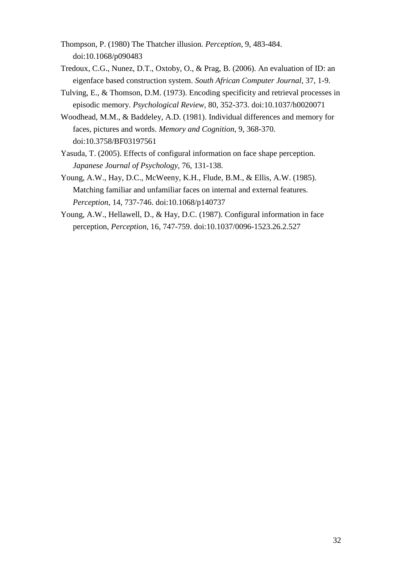- Thompson, P. (1980) The Thatcher illusion. *Perception*, 9, 483-484. doi:10.1068/p090483
- Tredoux, C.G., Nunez, D.T., Oxtoby, O., & Prag, B. (2006). An evaluation of ID: an eigenface based construction system. *South African Computer Journal*, 37, 1-9.
- Tulving, E., & Thomson, D.M. (1973). Encoding specificity and retrieval processes in episodic memory. *Psychological Review*, 80, 352-373. doi:10.1037/h0020071
- Woodhead, M.M., & Baddeley, A.D. (1981). Individual differences and memory for faces, pictures and words. *Memory and Cognition*, 9, 368-370. [doi:10.3758/BF03197561](http://dx.doi.org/10.3758%2FBF03197561)
- Yasuda, T. (2005). Effects of configural information on face shape perception. *Japanese Journal of Psychology*, 76, 131-138.
- Young, A.W., Hay, D.C., McWeeny, K.H., Flude, B.M., & Ellis, A.W. (1985). Matching familiar and unfamiliar faces on internal and external features. *Perception*, 14, 737-746. [doi:10.1068/p140737](http://dx.doi.org/10.1068%2Fp140737)
- Young, A.W., Hellawell, D., & Hay, D.C. (1987). Configural information in face perception, *Perception*, 16, 747-759. doi:10.1037/0096-1523.26.2.527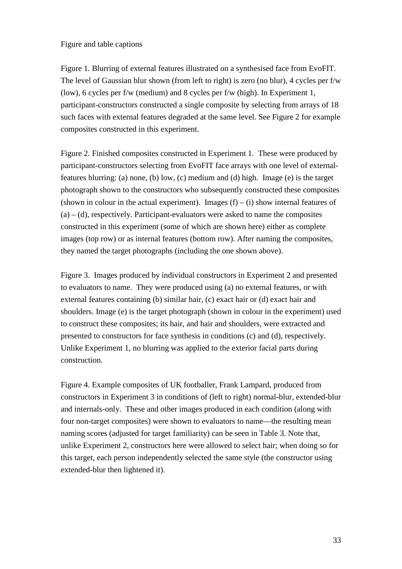#### Figure and table captions

Figure 1. Blurring of external features illustrated on a synthesised face from EvoFIT. The level of Gaussian blur shown (from left to right) is zero (no blur), 4 cycles per f/w (low), 6 cycles per f/w (medium) and 8 cycles per f/w (high). In Experiment 1, participant-constructors constructed a single composite by selecting from arrays of 18 such faces with external features degraded at the same level. See Figure 2 for example composites constructed in this experiment.

Figure 2. Finished composites constructed in Experiment 1. These were produced by participant-constructors selecting from EvoFIT face arrays with one level of externalfeatures blurring: (a) none, (b) low, (c) medium and (d) high. Image (e) is the target photograph shown to the constructors who subsequently constructed these composites (shown in colour in the actual experiment). Images  $(f) - (i)$  show internal features of  $(a) - (d)$ , respectively. Participant-evaluators were asked to name the composites constructed in this experiment (some of which are shown here) either as complete images (top row) or as internal features (bottom row). After naming the composites, they named the target photographs (including the one shown above).

Figure 3. Images produced by individual constructors in Experiment 2 and presented to evaluators to name. They were produced using (a) no external features, or with external features containing (b) similar hair, (c) exact hair or (d) exact hair and shoulders. Image (e) is the target photograph (shown in colour in the experiment) used to construct these composites; its hair, and hair and shoulders, were extracted and presented to constructors for face synthesis in conditions (c) and (d), respectively. Unlike Experiment 1, no blurring was applied to the exterior facial parts during construction.

Figure 4. Example composites of UK footballer, Frank Lampard, produced from constructors in Experiment 3 in conditions of (left to right) normal-blur, extended-blur and internals-only. These and other images produced in each condition (along with four non-target composites) were shown to evaluators to name—the resulting mean naming scores (adjusted for target familiarity) can be seen in Table 3. Note that, unlike Experiment 2, constructors here were allowed to select hair; when doing so for this target, each person independently selected the same style (the constructor using extended-blur then lightened it).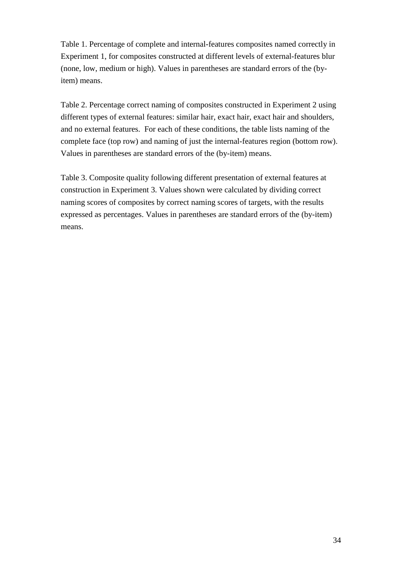Table 1. Percentage of complete and internal-features composites named correctly in Experiment 1, for composites constructed at different levels of external-features blur (none, low, medium or high). Values in parentheses are standard errors of the (byitem) means.

Table 2. Percentage correct naming of composites constructed in Experiment 2 using different types of external features: similar hair, exact hair, exact hair and shoulders, and no external features. For each of these conditions, the table lists naming of the complete face (top row) and naming of just the internal-features region (bottom row). Values in parentheses are standard errors of the (by-item) means.

Table 3. Composite quality following different presentation of external features at construction in Experiment 3. Values shown were calculated by dividing correct naming scores of composites by correct naming scores of targets, with the results expressed as percentages. Values in parentheses are standard errors of the (by-item) means.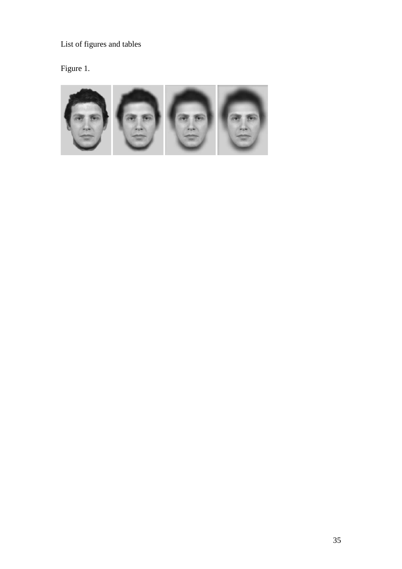### List of figures and tables

Figure 1.

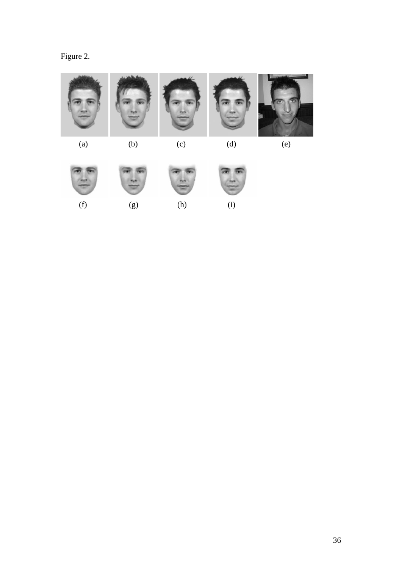Figure 2.







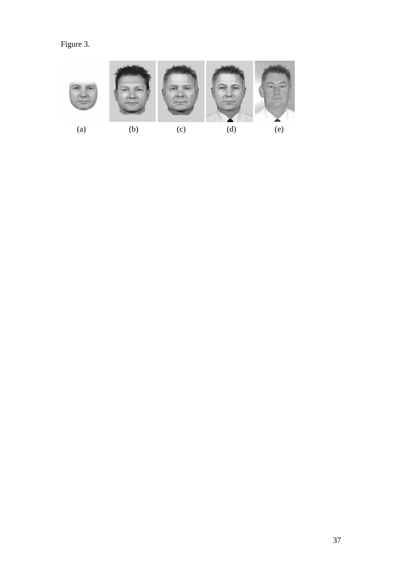## Figure 3.

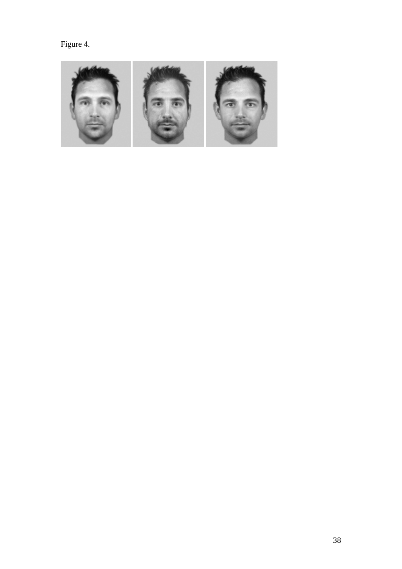## Figure 4.

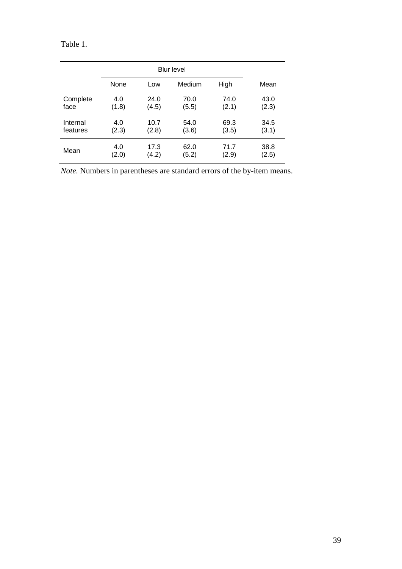Table 1.

|          | <b>Blur level</b> |       |        |       |       |
|----------|-------------------|-------|--------|-------|-------|
|          | None              | Low   | Medium | High  | Mean  |
| Complete | 4.0               | 24.0  | 70.0   | 74.0  | 43.0  |
| face     | (1.8)             | (4.5) | (5.5)  | (2.1) | (2.3) |
| Internal | 4.0               | 10.7  | 54.0   | 69.3  | 34.5  |
| features | (2.3)             | (2.8) | (3.6)  | (3.5) | (3.1) |
| Mean     | 4.0               | 17.3  | 62.0   | 71.7  | 38.8  |
|          | (2.0)             | (4.2) | (5.2)  | (2.9) | (2.5) |

*Note.* Numbers in parentheses are standard errors of the by-item means.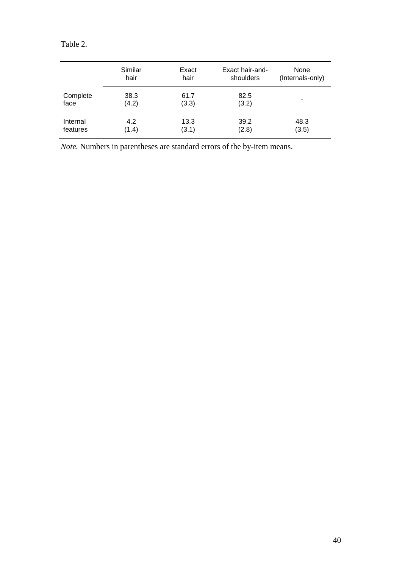| 'able |  |
|-------|--|
|-------|--|

|          | Similar | Exact | Exact hair-and- | None             |
|----------|---------|-------|-----------------|------------------|
|          | hair    | hair  | shoulders       | (Internals-only) |
| Complete | 38.3    | 61.7  | 82.5            | ۰                |
| face     | (4.2)   | (3.3) | (3.2)           |                  |
| Internal | 4.2     | 13.3  | 39.2            | 48.3             |
| features | (1.4)   | (3.1) | (2.8)           | (3.5)            |

*Note.* Numbers in parentheses are standard errors of the by-item means.